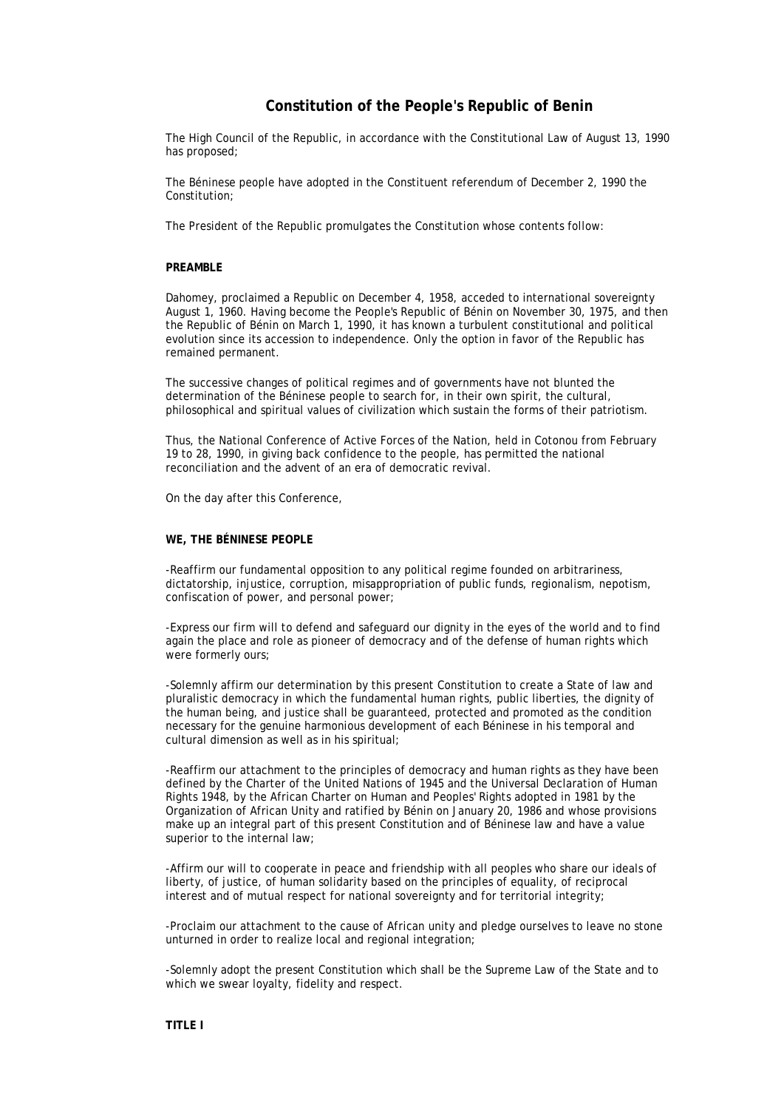# **Constitution of the People's Republic of Benin**

The High Council of the Republic, in accordance with the Constitutional Law of August 13, 1990 has proposed;

The Béninese people have adopted in the Constituent referendum of December 2, 1990 the Constitution;

The President of the Republic promulgates the Constitution whose contents follow:

# **PREAMBLE**

Dahomey, proclaimed a Republic on December 4, 1958, acceded to international sovereignty August 1, 1960. Having become the People's Republic of Bénin on November 30, 1975, and then the Republic of Bénin on March 1, 1990, it has known a turbulent constitutional and political evolution since its accession to independence. Only the option in favor of the Republic has remained permanent.

The successive changes of political regimes and of governments have not blunted the determination of the Béninese people to search for, in their own spirit, the cultural, philosophical and spiritual values of civilization which sustain the forms of their patriotism.

Thus, the National Conference of Active Forces of the Nation, held in Cotonou from February 19 to 28, 1990, in giving back confidence to the people, has permitted the national reconciliation and the advent of an era of democratic revival.

On the day after this Conference,

### **WE, THE BÉNINESE PEOPLE**

-Reaffirm our fundamental opposition to any political regime founded on arbitrariness, dictatorship, injustice, corruption, misappropriation of public funds, regionalism, nepotism, confiscation of power, and personal power;

-Express our firm will to defend and safeguard our dignity in the eyes of the world and to find again the place and role as pioneer of democracy and of the defense of human rights which were formerly ours;

-Solemnly affirm our determination by this present Constitution to create a State of law and pluralistic democracy in which the fundamental human rights, public liberties, the dignity of the human being, and justice shall be guaranteed, protected and promoted as the condition necessary for the genuine harmonious development of each Béninese in his temporal and cultural dimension as well as in his spiritual;

-Reaffirm our attachment to the principles of democracy and human rights as they have been defined by the Charter of the United Nations of 1945 and the Universal Declaration of Human Rights 1948, by the African Charter on Human and Peoples' Rights adopted in 1981 by the Organization of African Unity and ratified by Bénin on January 20, 1986 and whose provisions make up an integral part of this present Constitution and of Béninese law and have a value superior to the internal law;

-Affirm our will to cooperate in peace and friendship with all peoples who share our ideals of liberty, of justice, of human solidarity based on the principles of equality, of reciprocal interest and of mutual respect for national sovereignty and for territorial integrity;

-Proclaim our attachment to the cause of African unity and pledge ourselves to leave no stone unturned in order to realize local and regional integration;

-Solemnly adopt the present Constitution which shall be the Supreme Law of the State and to which we swear loyalty, fidelity and respect.

# **TITLE I**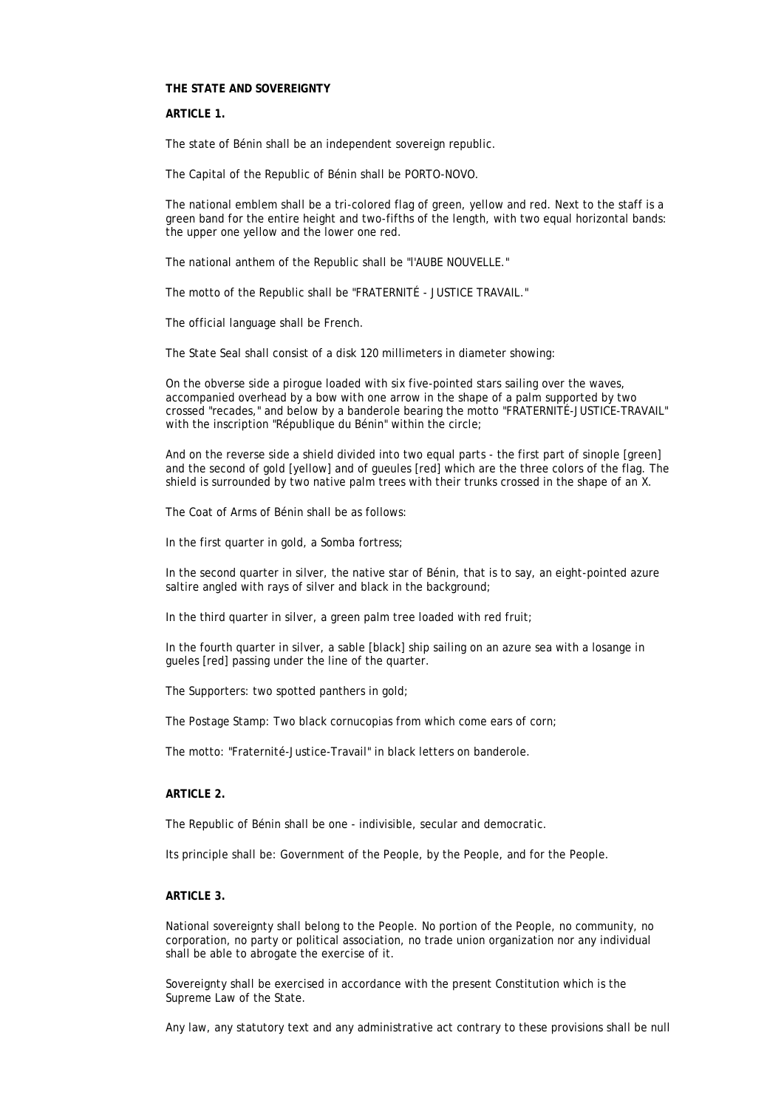#### **THE STATE AND SOVEREIGNTY**

#### **ARTICLE 1.**

The state of Bénin shall be an independent sovereign republic.

The Capital of the Republic of Bénin shall be PORTO-NOVO.

The national emblem shall be a tri-colored flag of green, yellow and red. Next to the staff is a green band for the entire height and two-fifths of the length, with two equal horizontal bands: the upper one yellow and the lower one red.

The national anthem of the Republic shall be "l'AUBE NOUVELLE."

The motto of the Republic shall be "FRATERNITÉ - JUSTICE TRAVAIL."

The official language shall be French.

The State Seal shall consist of a disk 120 millimeters in diameter showing:

On the obverse side a pirogue loaded with six five-pointed stars sailing over the waves, accompanied overhead by a bow with one arrow in the shape of a palm supported by two crossed "recades," and below by a banderole bearing the motto "FRATERNITÉ-JUSTICE-TRAVAIL" with the inscription "République du Bénin" within the circle;

And on the reverse side a shield divided into two equal parts - the first part of sinople [green] and the second of gold [yellow] and of gueules [red] which are the three colors of the flag. The shield is surrounded by two native palm trees with their trunks crossed in the shape of an X.

The Coat of Arms of Bénin shall be as follows:

In the first quarter in gold, a Somba fortress;

In the second quarter in silver, the native star of Bénin, that is to say, an eight-pointed azure saltire angled with rays of silver and black in the background;

In the third quarter in silver, a green palm tree loaded with red fruit;

In the fourth quarter in silver, a sable [black] ship sailing on an azure sea with a losange in gueles [red] passing under the line of the quarter.

The Supporters: two spotted panthers in gold;

The Postage Stamp: Two black cornucopias from which come ears of corn;

The motto: "Fraternité-Justice-Travail" in black letters on banderole.

### **ARTICLE 2.**

The Republic of Bénin shall be one - indivisible, secular and democratic.

Its principle shall be: Government of the People, by the People, and for the People.

# **ARTICLE 3.**

National sovereignty shall belong to the People. No portion of the People, no community, no corporation, no party or political association, no trade union organization nor any individual shall be able to abrogate the exercise of it.

Sovereignty shall be exercised in accordance with the present Constitution which is the Supreme Law of the State.

Any law, any statutory text and any administrative act contrary to these provisions shall be null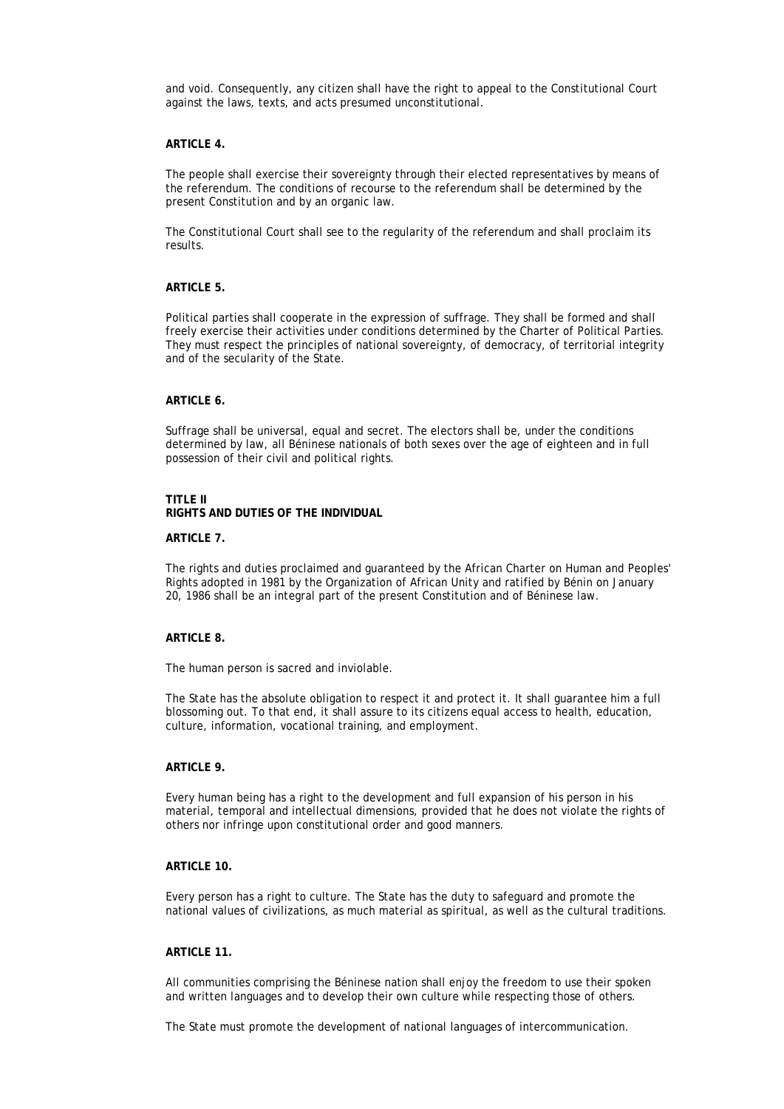and void. Consequently, any citizen shall have the right to appeal to the Constitutional Court against the laws, texts, and acts presumed unconstitutional.

#### **ARTICLE 4.**

The people shall exercise their sovereignty through their elected representatives by means of the referendum. The conditions of recourse to the referendum shall be determined by the present Constitution and by an organic law.

The Constitutional Court shall see to the regularity of the referendum and shall proclaim its results.

# **ARTICLE 5.**

Political parties shall cooperate in the expression of suffrage. They shall be formed and shall freely exercise their activities under conditions determined by the Charter of Political Parties. They must respect the principles of national sovereignty, of democracy, of territorial integrity and of the secularity of the State.

### **ARTICLE 6.**

Suffrage shall be universal, equal and secret. The electors shall be, under the conditions determined by law, all Béninese nationals of both sexes over the age of eighteen and in full possession of their civil and political rights.

### **TITLE II**

**RIGHTS AND DUTIES OF THE INDIVIDUAL**

#### **ARTICLE 7.**

The rights and duties proclaimed and guaranteed by the African Charter on Human and Peoples' Rights adopted in 1981 by the Organization of African Unity and ratified by Bénin on January 20, 1986 shall be an integral part of the present Constitution and of Béninese law.

#### **ARTICLE 8.**

The human person is sacred and inviolable.

The State has the absolute obligation to respect it and protect it. It shall guarantee him a full blossoming out. To that end, it shall assure to its citizens equal access to health, education, culture, information, vocational training, and employment.

#### **ARTICLE 9.**

Every human being has a right to the development and full expansion of his person in his material, temporal and intellectual dimensions, provided that he does not violate the rights of others nor infringe upon constitutional order and good manners.

# **ARTICLE 10.**

Every person has a right to culture. The State has the duty to safeguard and promote the national values of civilizations, as much material as spiritual, as well as the cultural traditions.

# **ARTICLE 11.**

All communities comprising the Béninese nation shall enjoy the freedom to use their spoken and written languages and to develop their own culture while respecting those of others.

The State must promote the development of national languages of intercommunication.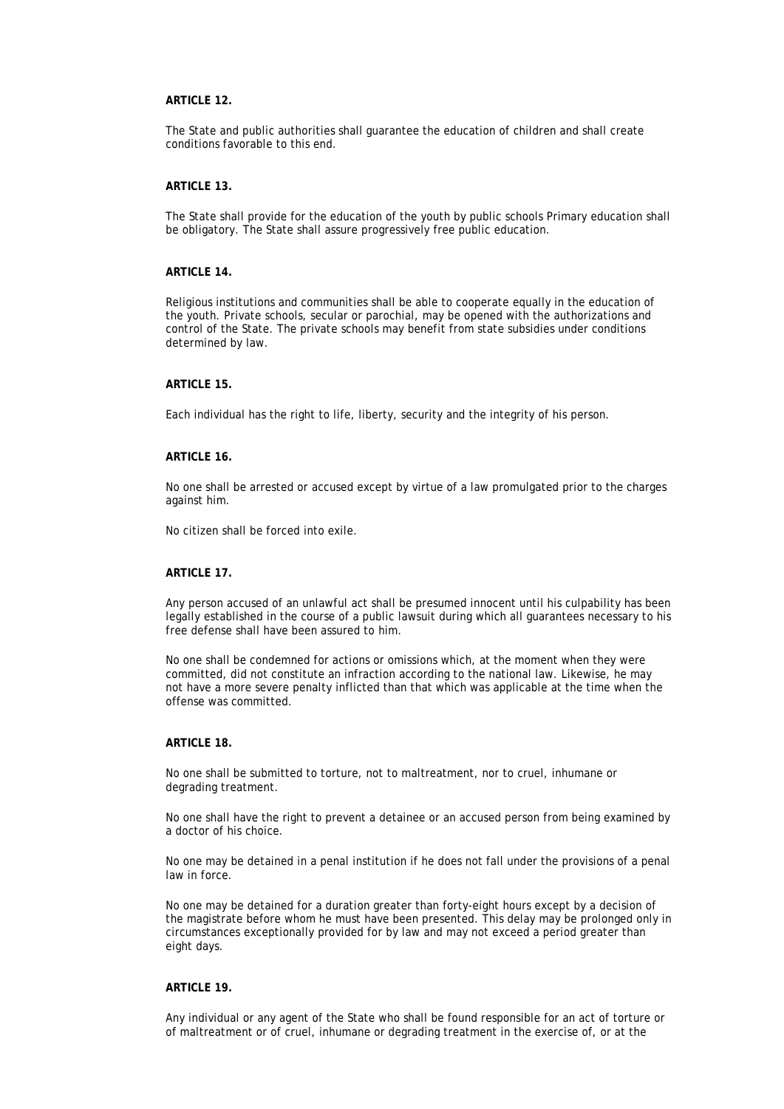# **ARTICLE 12.**

The State and public authorities shall guarantee the education of children and shall create conditions favorable to this end.

#### **ARTICLE 13.**

The State shall provide for the education of the youth by public schools Primary education shall be obligatory. The State shall assure progressively free public education.

# **ARTICLE 14.**

Religious institutions and communities shall be able to cooperate equally in the education of the youth. Private schools, secular or parochial, may be opened with the authorizations and control of the State. The private schools may benefit from state subsidies under conditions determined by law.

## **ARTICLE 15.**

Each individual has the right to life, liberty, security and the integrity of his person.

### **ARTICLE 16.**

No one shall be arrested or accused except by virtue of a law promulgated prior to the charges against him.

No citizen shall be forced into exile.

### **ARTICLE 17.**

Any person accused of an unlawful act shall be presumed innocent until his culpability has been legally established in the course of a public lawsuit during which all guarantees necessary to his free defense shall have been assured to him.

No one shall be condemned for actions or omissions which, at the moment when they were committed, did not constitute an infraction according to the national law. Likewise, he may not have a more severe penalty inflicted than that which was applicable at the time when the offense was committed.

# **ARTICLE 18.**

No one shall be submitted to torture, not to maltreatment, nor to cruel, inhumane or degrading treatment.

No one shall have the right to prevent a detainee or an accused person from being examined by a doctor of his choice.

No one may be detained in a penal institution if he does not fall under the provisions of a penal law in force.

No one may be detained for a duration greater than forty-eight hours except by a decision of the magistrate before whom he must have been presented. This delay may be prolonged only in circumstances exceptionally provided for by law and may not exceed a period greater than eight days.

### **ARTICLE 19.**

Any individual or any agent of the State who shall be found responsible for an act of torture or of maltreatment or of cruel, inhumane or degrading treatment in the exercise of, or at the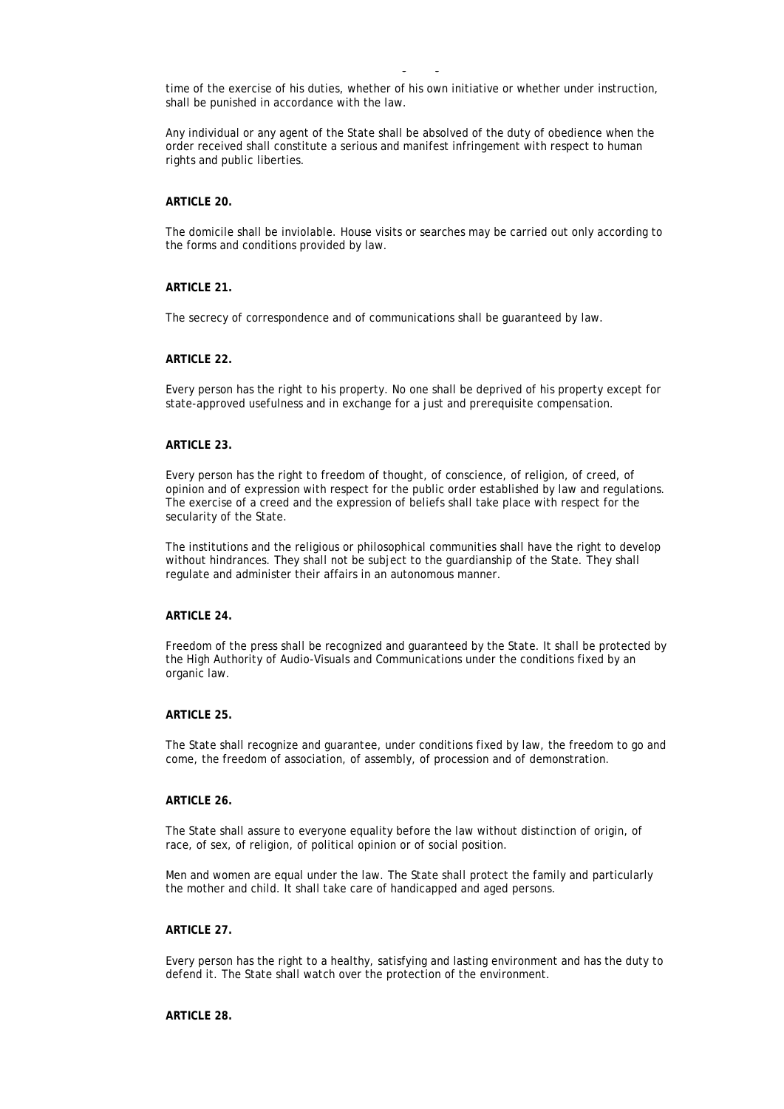time of the exercise of his duties, whether of his own initiative or whether under instruction, shall be punished in accordance with the law.

of maltreatment or of cruel, inhumane or degrading treatment in the exercise of, or at the

Any individual or any agent of the State shall be absolved of the duty of obedience when the order received shall constitute a serious and manifest infringement with respect to human rights and public liberties.

#### **ARTICLE 20.**

The domicile shall be inviolable. House visits or searches may be carried out only according to the forms and conditions provided by law.

## **ARTICLE 21.**

The secrecy of correspondence and of communications shall be guaranteed by law.

#### **ARTICLE 22.**

Every person has the right to his property. No one shall be deprived of his property except for state-approved usefulness and in exchange for a just and prerequisite compensation.

### **ARTICLE 23.**

Every person has the right to freedom of thought, of conscience, of religion, of creed, of opinion and of expression with respect for the public order established by law and regulations. The exercise of a creed and the expression of beliefs shall take place with respect for the secularity of the State.

The institutions and the religious or philosophical communities shall have the right to develop without hindrances. They shall not be subject to the guardianship of the State. They shall regulate and administer their affairs in an autonomous manner.

# **ARTICLE 24.**

Freedom of the press shall be recognized and guaranteed by the State. It shall be protected by the High Authority of Audio-Visuals and Communications under the conditions fixed by an organic law.

# **ARTICLE 25.**

The State shall recognize and guarantee, under conditions fixed by law, the freedom to go and come, the freedom of association, of assembly, of procession and of demonstration.

# **ARTICLE 26.**

The State shall assure to everyone equality before the law without distinction of origin, of race, of sex, of religion, of political opinion or of social position.

Men and women are equal under the law. The State shall protect the family and particularly the mother and child. It shall take care of handicapped and aged persons.

# **ARTICLE 27.**

Every person has the right to a healthy, satisfying and lasting environment and has the duty to defend it. The State shall watch over the protection of the environment.

#### **ARTICLE 28.**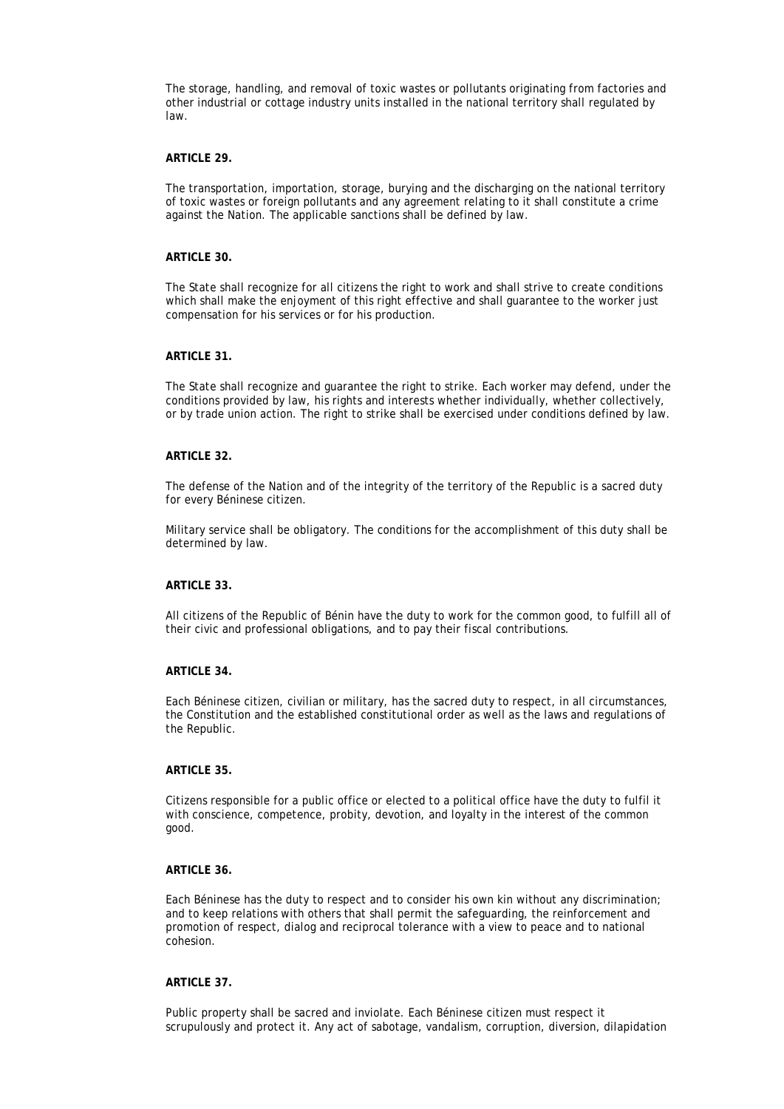The storage, handling, and removal of toxic wastes or pollutants originating from factories and other industrial or cottage industry units installed in the national territory shall regulated by law.

#### **ARTICLE 29.**

The transportation, importation, storage, burying and the discharging on the national territory of toxic wastes or foreign pollutants and any agreement relating to it shall constitute a crime against the Nation. The applicable sanctions shall be defined by law.

### **ARTICLE 30.**

The State shall recognize for all citizens the right to work and shall strive to create conditions which shall make the enjoyment of this right effective and shall guarantee to the worker just compensation for his services or for his production.

# **ARTICLE 31.**

The State shall recognize and guarantee the right to strike. Each worker may defend, under the conditions provided by law, his rights and interests whether individually, whether collectively, or by trade union action. The right to strike shall be exercised under conditions defined by law.

### **ARTICLE 32.**

The defense of the Nation and of the integrity of the territory of the Republic is a sacred duty for every Béninese citizen.

Military service shall be obligatory. The conditions for the accomplishment of this duty shall be determined by law.

# **ARTICLE 33.**

All citizens of the Republic of Bénin have the duty to work for the common good, to fulfill all of their civic and professional obligations, and to pay their fiscal contributions.

#### **ARTICLE 34.**

Each Béninese citizen, civilian or military, has the sacred duty to respect, in all circumstances, the Constitution and the established constitutional order as well as the laws and regulations of the Republic.

### **ARTICLE 35.**

Citizens responsible for a public office or elected to a political office have the duty to fulfil it with conscience, competence, probity, devotion, and loyalty in the interest of the common good.

### **ARTICLE 36.**

Each Béninese has the duty to respect and to consider his own kin without any discrimination; and to keep relations with others that shall permit the safeguarding, the reinforcement and promotion of respect, dialog and reciprocal tolerance with a view to peace and to national cohesion.

# **ARTICLE 37.**

Public property shall be sacred and inviolate. Each Béninese citizen must respect it scrupulously and protect it. Any act of sabotage, vandalism, corruption, diversion, dilapidation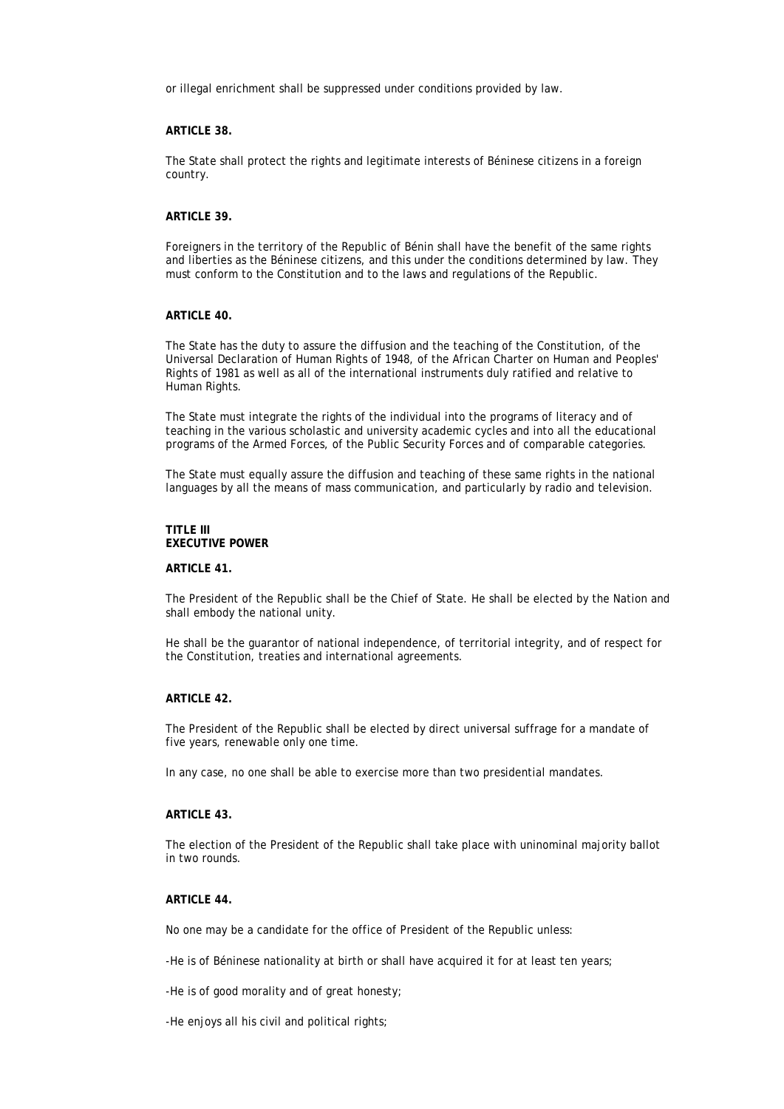or illegal enrichment shall be suppressed under conditions provided by law.

# **ARTICLE 38.**

The State shall protect the rights and legitimate interests of Béninese citizens in a foreign country.

# **ARTICLE 39.**

Foreigners in the territory of the Republic of Bénin shall have the benefit of the same rights and liberties as the Béninese citizens, and this under the conditions determined by law. They must conform to the Constitution and to the laws and regulations of the Republic.

# **ARTICLE 40.**

The State has the duty to assure the diffusion and the teaching of the Constitution, of the Universal Declaration of Human Rights of 1948, of the African Charter on Human and Peoples' Rights of 1981 as well as all of the international instruments duly ratified and relative to Human Rights.

The State must integrate the rights of the individual into the programs of literacy and of teaching in the various scholastic and university academic cycles and into all the educational programs of the Armed Forces, of the Public Security Forces and of comparable categories.

The State must equally assure the diffusion and teaching of these same rights in the national languages by all the means of mass communication, and particularly by radio and television.

### **TITLE III EXECUTIVE POWER**

#### **ARTICLE 41.**

The President of the Republic shall be the Chief of State. He shall be elected by the Nation and shall embody the national unity.

He shall be the guarantor of national independence, of territorial integrity, and of respect for the Constitution, treaties and international agreements.

## **ARTICLE 42.**

The President of the Republic shall be elected by direct universal suffrage for a mandate of five years, renewable only one time.

In any case, no one shall be able to exercise more than two presidential mandates.

### **ARTICLE 43.**

The election of the President of the Republic shall take place with uninominal majority ballot in two rounds.

# **ARTICLE 44.**

No one may be a candidate for the office of President of the Republic unless:

-He is of Béninese nationality at birth or shall have acquired it for at least ten years;

-He is of good morality and of great honesty;

-He enjoys all his civil and political rights;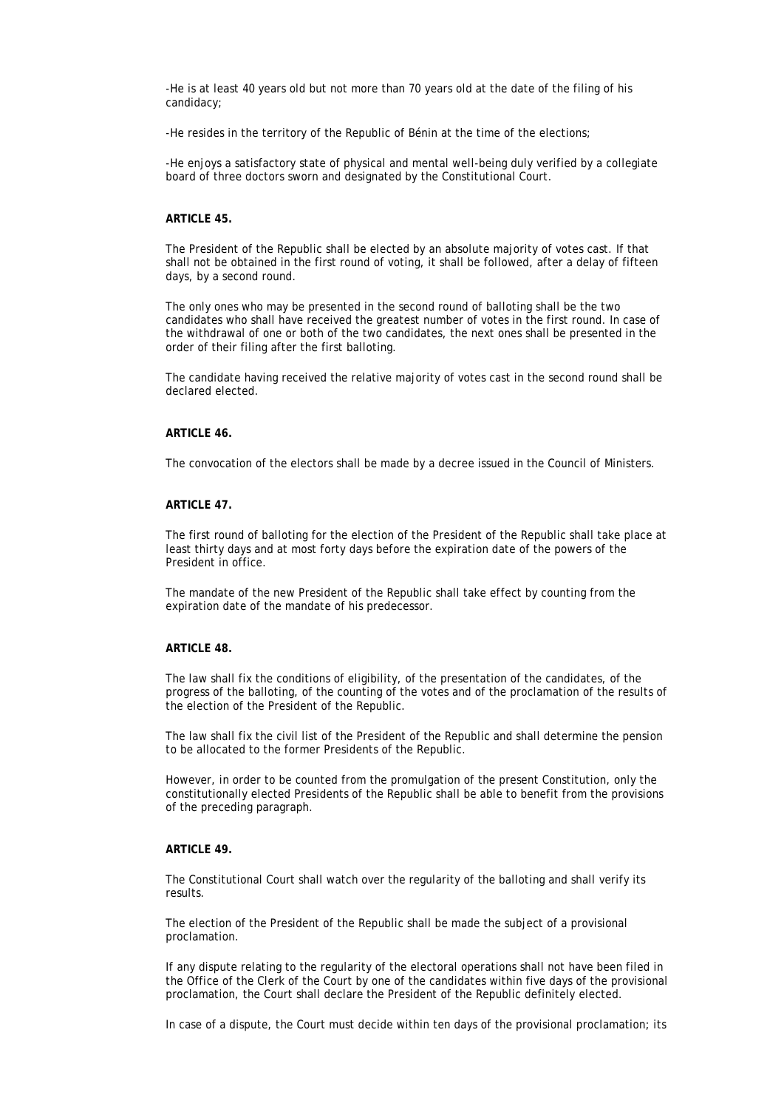-He is at least 40 years old but not more than 70 years old at the date of the filing of his candidacy;

-He resides in the territory of the Republic of Bénin at the time of the elections;

-He enjoys a satisfactory state of physical and mental well-being duly verified by a collegiate board of three doctors sworn and designated by the Constitutional Court.

#### **ARTICLE 45.**

The President of the Republic shall be elected by an absolute majority of votes cast. If that shall not be obtained in the first round of voting, it shall be followed, after a delay of fifteen days, by a second round.

The only ones who may be presented in the second round of balloting shall be the two candidates who shall have received the greatest number of votes in the first round. In case of the withdrawal of one or both of the two candidates, the next ones shall be presented in the order of their filing after the first balloting.

The candidate having received the relative majority of votes cast in the second round shall be declared elected.

# **ARTICLE 46.**

The convocation of the electors shall be made by a decree issued in the Council of Ministers.

#### **ARTICLE 47.**

The first round of balloting for the election of the President of the Republic shall take place at least thirty days and at most forty days before the expiration date of the powers of the President in office.

The mandate of the new President of the Republic shall take effect by counting from the expiration date of the mandate of his predecessor.

# **ARTICLE 48.**

The law shall fix the conditions of eligibility, of the presentation of the candidates, of the progress of the balloting, of the counting of the votes and of the proclamation of the results of the election of the President of the Republic.

The law shall fix the civil list of the President of the Republic and shall determine the pension to be allocated to the former Presidents of the Republic.

However, in order to be counted from the promulgation of the present Constitution, only the constitutionally elected Presidents of the Republic shall be able to benefit from the provisions of the preceding paragraph.

### **ARTICLE 49.**

The Constitutional Court shall watch over the regularity of the balloting and shall verify its results.

The election of the President of the Republic shall be made the subject of a provisional proclamation.

If any dispute relating to the regularity of the electoral operations shall not have been filed in the Office of the Clerk of the Court by one of the candidates within five days of the provisional proclamation, the Court shall declare the President of the Republic definitely elected.

In case of a dispute, the Court must decide within ten days of the provisional proclamation; its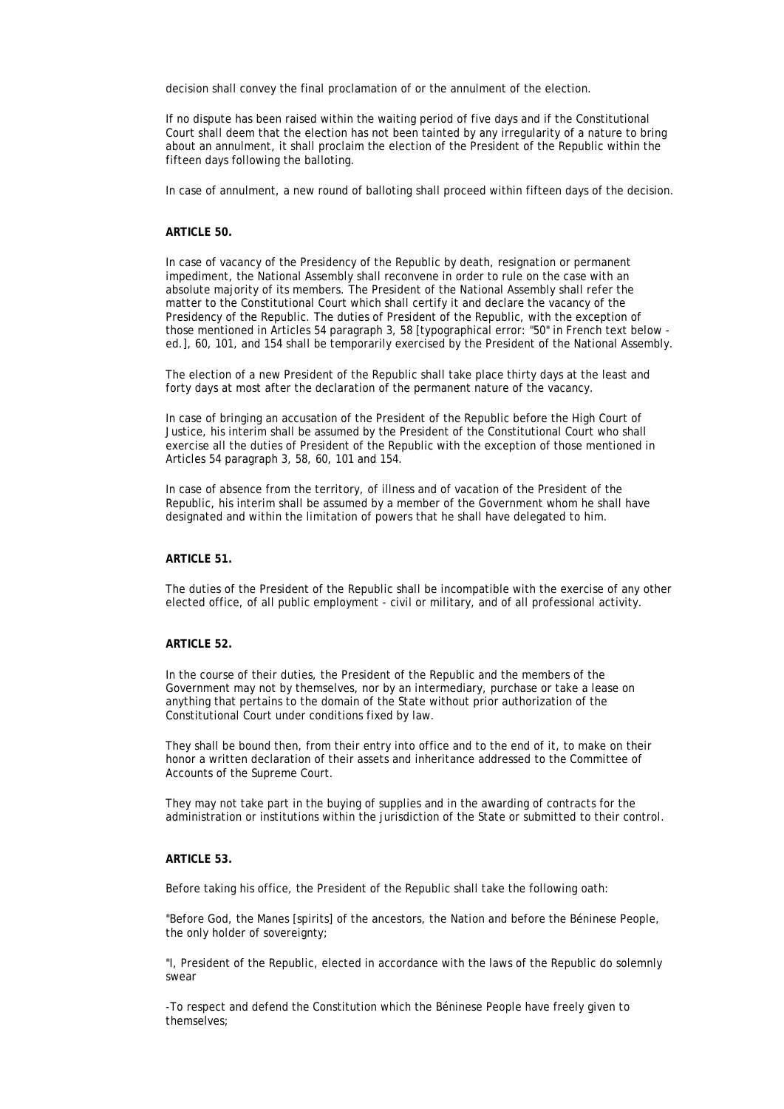decision shall convey the final proclamation of or the annulment of the election.

If no dispute has been raised within the waiting period of five days and if the Constitutional Court shall deem that the election has not been tainted by any irregularity of a nature to bring about an annulment, it shall proclaim the election of the President of the Republic within the fifteen days following the balloting.

In case of annulment, a new round of balloting shall proceed within fifteen days of the decision.

#### **ARTICLE 50.**

In case of vacancy of the Presidency of the Republic by death, resignation or permanent impediment, the National Assembly shall reconvene in order to rule on the case with an absolute majority of its members. The President of the National Assembly shall refer the matter to the Constitutional Court which shall certify it and declare the vacancy of the Presidency of the Republic. The duties of President of the Republic, with the exception of those mentioned in Articles 54 paragraph 3, 58 [typographical error: "50" in French text below ed.], 60, 101, and 154 shall be temporarily exercised by the President of the National Assembly.

The election of a new President of the Republic shall take place thirty days at the least and forty days at most after the declaration of the permanent nature of the vacancy.

In case of bringing an accusation of the President of the Republic before the High Court of Justice, his interim shall be assumed by the President of the Constitutional Court who shall exercise all the duties of President of the Republic with the exception of those mentioned in Articles 54 paragraph 3, 58, 60, 101 and 154.

In case of absence from the territory, of illness and of vacation of the President of the Republic, his interim shall be assumed by a member of the Government whom he shall have designated and within the limitation of powers that he shall have delegated to him.

# **ARTICLE 51.**

The duties of the President of the Republic shall be incompatible with the exercise of any other elected office, of all public employment - civil or military, and of all professional activity.

# **ARTICLE 52.**

In the course of their duties, the President of the Republic and the members of the Government may not by themselves, nor by an intermediary, purchase or take a lease on anything that pertains to the domain of the State without prior authorization of the Constitutional Court under conditions fixed by law.

They shall be bound then, from their entry into office and to the end of it, to make on their honor a written declaration of their assets and inheritance addressed to the Committee of Accounts of the Supreme Court.

They may not take part in the buying of supplies and in the awarding of contracts for the administration or institutions within the jurisdiction of the State or submitted to their control.

# **ARTICLE 53.**

Before taking his office, the President of the Republic shall take the following oath:

"Before God, the Manes [spirits] of the ancestors, the Nation and before the Béninese People, the only holder of sovereignty;

"I, President of the Republic, elected in accordance with the laws of the Republic do solemnly swear

-To respect and defend the Constitution which the Béninese People have freely given to themselves;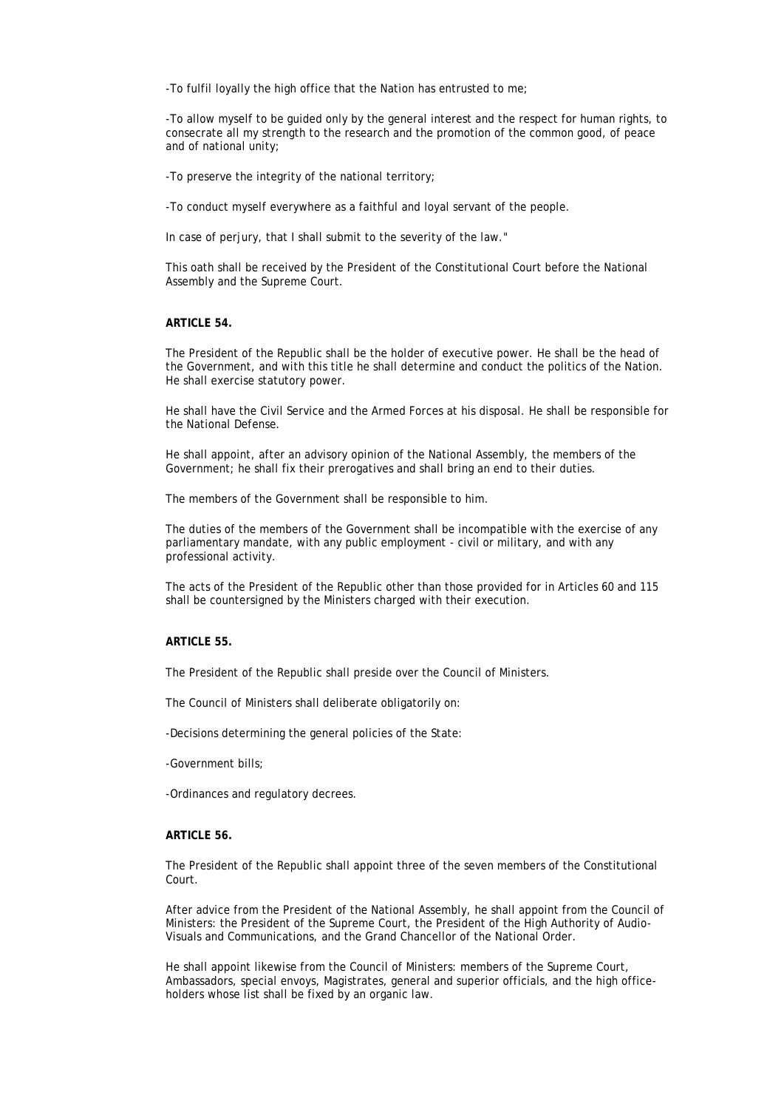-To fulfil loyally the high office that the Nation has entrusted to me;

-To allow myself to be guided only by the general interest and the respect for human rights, to consecrate all my strength to the research and the promotion of the common good, of peace and of national unity;

-To preserve the integrity of the national territory;

-To conduct myself everywhere as a faithful and loyal servant of the people.

In case of perjury, that I shall submit to the severity of the law."

This oath shall be received by the President of the Constitutional Court before the National Assembly and the Supreme Court.

# **ARTICLE 54.**

The President of the Republic shall be the holder of executive power. He shall be the head of the Government, and with this title he shall determine and conduct the politics of the Nation. He shall exercise statutory power.

He shall have the Civil Service and the Armed Forces at his disposal. He shall be responsible for the National Defense.

He shall appoint, after an advisory opinion of the National Assembly, the members of the Government; he shall fix their prerogatives and shall bring an end to their duties.

The members of the Government shall be responsible to him.

The duties of the members of the Government shall be incompatible with the exercise of any parliamentary mandate, with any public employment - civil or military, and with any professional activity.

The acts of the President of the Republic other than those provided for in Articles 60 and 115 shall be countersigned by the Ministers charged with their execution.

# **ARTICLE 55.**

The President of the Republic shall preside over the Council of Ministers.

The Council of Ministers shall deliberate obligatorily on:

-Decisions determining the general policies of the State:

-Government bills;

-Ordinances and regulatory decrees.

# **ARTICLE 56.**

The President of the Republic shall appoint three of the seven members of the Constitutional Court.

After advice from the President of the National Assembly, he shall appoint from the Council of Ministers: the President of the Supreme Court, the President of the High Authority of Audio-Visuals and Communications, and the Grand Chancellor of the National Order.

He shall appoint likewise from the Council of Ministers: members of the Supreme Court, Ambassadors, special envoys, Magistrates, general and superior officials, and the high officeholders whose list shall be fixed by an organic law.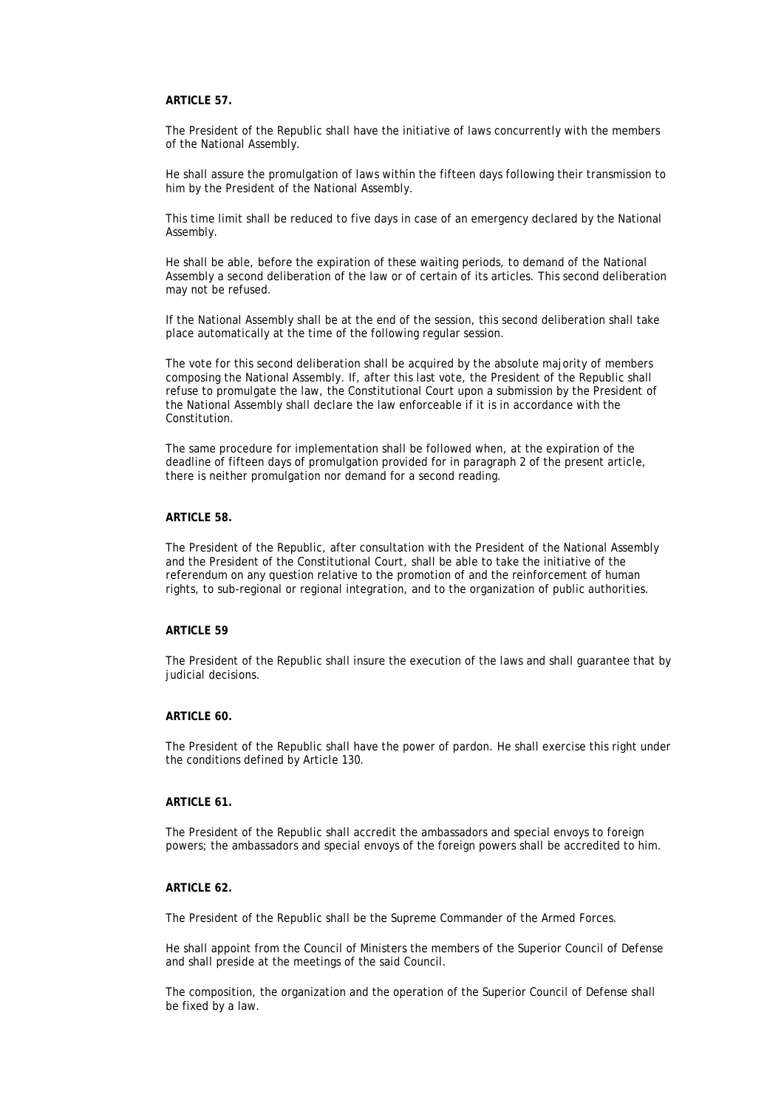# **ARTICLE 57.**

The President of the Republic shall have the initiative of laws concurrently with the members of the National Assembly.

He shall assure the promulgation of laws within the fifteen days following their transmission to him by the President of the National Assembly.

This time limit shall be reduced to five days in case of an emergency declared by the National Assembly.

He shall be able, before the expiration of these waiting periods, to demand of the National Assembly a second deliberation of the law or of certain of its articles. This second deliberation may not be refused.

If the National Assembly shall be at the end of the session, this second deliberation shall take place automatically at the time of the following regular session.

The vote for this second deliberation shall be acquired by the absolute majority of members composing the National Assembly. If, after this last vote, the President of the Republic shall refuse to promulgate the law, the Constitutional Court upon a submission by the President of the National Assembly shall declare the law enforceable if it is in accordance with the Constitution.

The same procedure for implementation shall be followed when, at the expiration of the deadline of fifteen days of promulgation provided for in paragraph 2 of the present article, there is neither promulgation nor demand for a second reading.

#### **ARTICLE 58.**

The President of the Republic, after consultation with the President of the National Assembly and the President of the Constitutional Court, shall be able to take the initiative of the referendum on any question relative to the promotion of and the reinforcement of human rights, to sub-regional or regional integration, and to the organization of public authorities.

#### **ARTICLE 59**

The President of the Republic shall insure the execution of the laws and shall guarantee that by judicial decisions.

#### **ARTICLE 60.**

The President of the Republic shall have the power of pardon. He shall exercise this right under the conditions defined by Article 130.

#### **ARTICLE 61.**

The President of the Republic shall accredit the ambassadors and special envoys to foreign powers; the ambassadors and special envoys of the foreign powers shall be accredited to him.

# **ARTICLE 62.**

The President of the Republic shall be the Supreme Commander of the Armed Forces.

He shall appoint from the Council of Ministers the members of the Superior Council of Defense and shall preside at the meetings of the said Council.

The composition, the organization and the operation of the Superior Council of Defense shall be fixed by a law.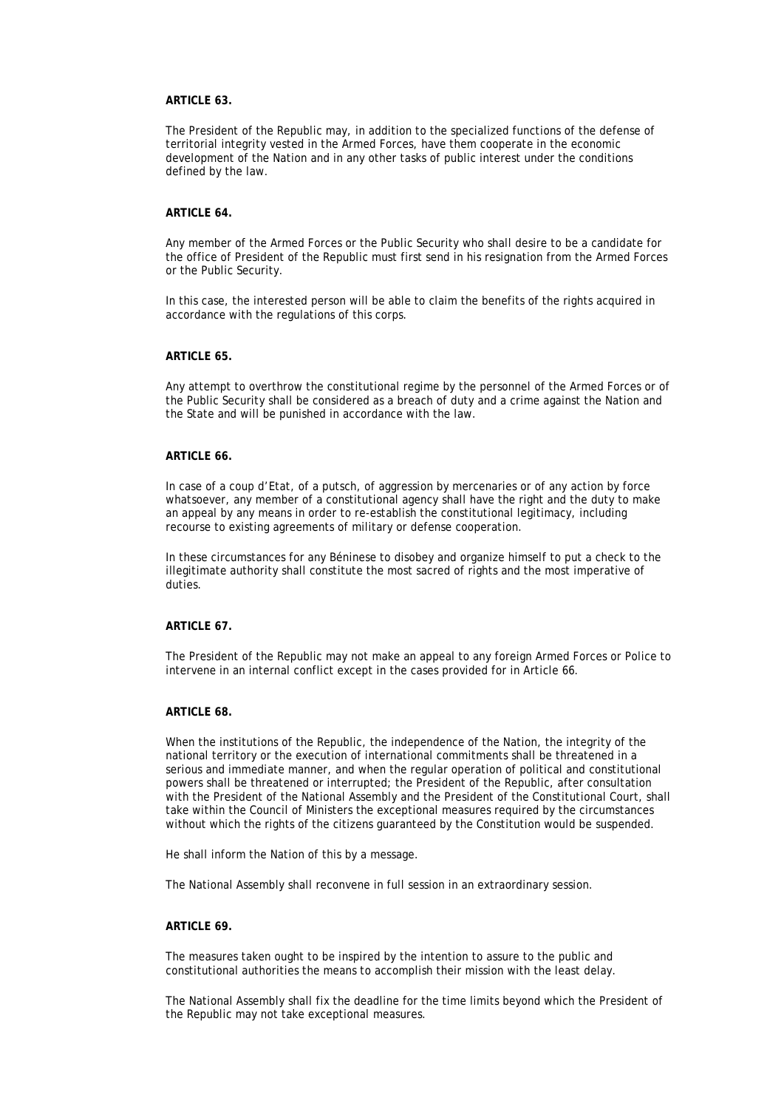# **ARTICLE 63.**

The President of the Republic may, in addition to the specialized functions of the defense of territorial integrity vested in the Armed Forces, have them cooperate in the economic development of the Nation and in any other tasks of public interest under the conditions defined by the law.

# **ARTICLE 64.**

Any member of the Armed Forces or the Public Security who shall desire to be a candidate for the office of President of the Republic must first send in his resignation from the Armed Forces or the Public Security.

In this case, the interested person will be able to claim the benefits of the rights acquired in accordance with the regulations of this corps.

# **ARTICLE 65.**

Any attempt to overthrow the constitutional regime by the personnel of the Armed Forces or of the Public Security shall be considered as a breach of duty and a crime against the Nation and the State and will be punished in accordance with the law.

# **ARTICLE 66.**

In case of a coup d'Etat, of a putsch, of aggression by mercenaries or of any action by force whatsoever, any member of a constitutional agency shall have the right and the duty to make an appeal by any means in order to re-establish the constitutional legitimacy, including recourse to existing agreements of military or defense cooperation.

In these circumstances for any Béninese to disobey and organize himself to put a check to the illegitimate authority shall constitute the most sacred of rights and the most imperative of duties.

#### **ARTICLE 67.**

The President of the Republic may not make an appeal to any foreign Armed Forces or Police to intervene in an internal conflict except in the cases provided for in Article 66.

#### **ARTICLE 68.**

When the institutions of the Republic, the independence of the Nation, the integrity of the national territory or the execution of international commitments shall be threatened in a serious and immediate manner, and when the regular operation of political and constitutional powers shall be threatened or interrupted; the President of the Republic, after consultation with the President of the National Assembly and the President of the Constitutional Court, shall take within the Council of Ministers the exceptional measures required by the circumstances without which the rights of the citizens guaranteed by the Constitution would be suspended.

He shall inform the Nation of this by a message.

The National Assembly shall reconvene in full session in an extraordinary session.

#### **ARTICLE 69.**

The measures taken ought to be inspired by the intention to assure to the public and constitutional authorities the means to accomplish their mission with the least delay.

The National Assembly shall fix the deadline for the time limits beyond which the President of the Republic may not take exceptional measures.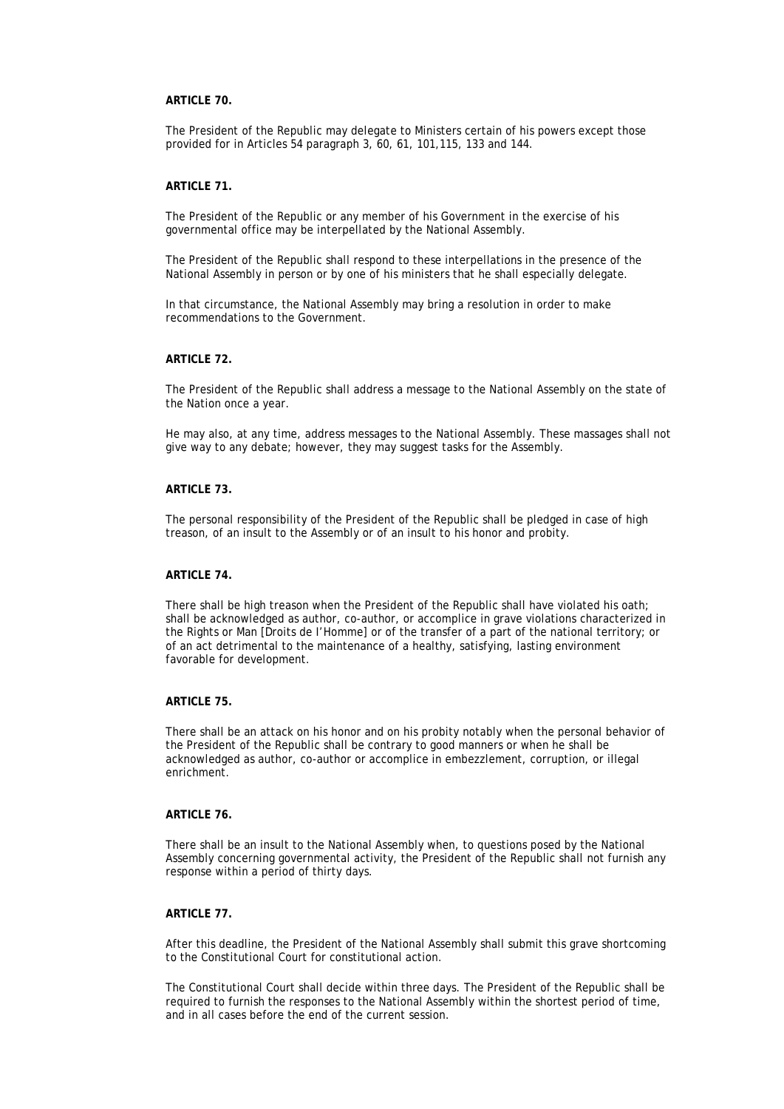# **ARTICLE 70.**

The President of the Republic may delegate to Ministers certain of his powers except those provided for in Articles 54 paragraph 3, 60, 61, 101,115, 133 and 144.

#### **ARTICLE 71.**

The President of the Republic or any member of his Government in the exercise of his governmental office may be interpellated by the National Assembly.

The President of the Republic shall respond to these interpellations in the presence of the National Assembly in person or by one of his ministers that he shall especially delegate.

In that circumstance, the National Assembly may bring a resolution in order to make recommendations to the Government.

# **ARTICLE 72.**

The President of the Republic shall address a message to the National Assembly on the state of the Nation once a year.

He may also, at any time, address messages to the National Assembly. These massages shall not give way to any debate; however, they may suggest tasks for the Assembly.

# **ARTICLE 73.**

The personal responsibility of the President of the Republic shall be pledged in case of high treason, of an insult to the Assembly or of an insult to his honor and probity.

# **ARTICLE 74**

There shall be high treason when the President of the Republic shall have violated his oath; shall be acknowledged as author, co-author, or accomplice in grave violations characterized in the Rights or Man [Droits de I'Homme] or of the transfer of a part of the national territory; or of an act detrimental to the maintenance of a healthy, satisfying, lasting environment favorable for development.

# **ARTICLE 75.**

There shall be an attack on his honor and on his probity notably when the personal behavior of the President of the Republic shall be contrary to good manners or when he shall be acknowledged as author, co-author or accomplice in embezzlement, corruption, or illegal enrichment.

### **ARTICLE 76.**

There shall be an insult to the National Assembly when, to questions posed by the National Assembly concerning governmental activity, the President of the Republic shall not furnish any response within a period of thirty days.

# **ARTICLE 77.**

After this deadline, the President of the National Assembly shall submit this grave shortcoming to the Constitutional Court for constitutional action.

The Constitutional Court shall decide within three days. The President of the Republic shall be required to furnish the responses to the National Assembly within the shortest period of time, and in all cases before the end of the current session.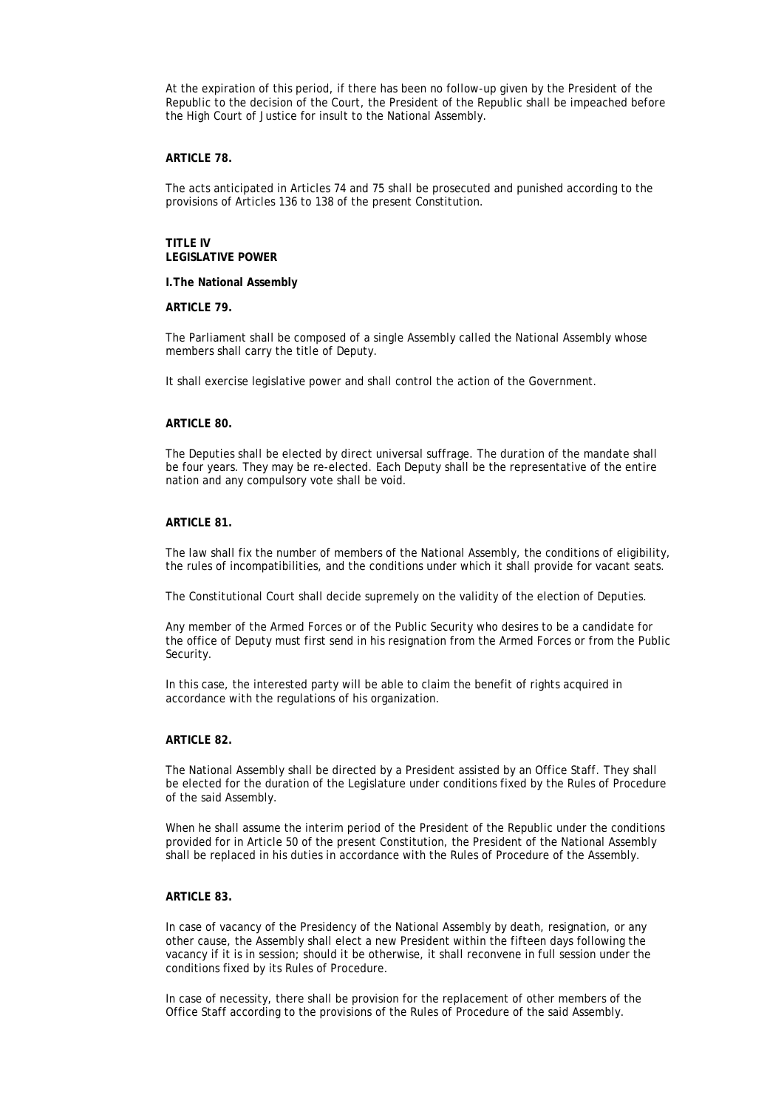At the expiration of this period, if there has been no follow-up given by the President of the Republic to the decision of the Court, the President of the Republic shall be impeached before the High Court of Justice for insult to the National Assembly.

#### **ARTICLE 78.**

The acts anticipated in Articles 74 and 75 shall be prosecuted and punished according to the provisions of Articles 136 to 138 of the present Constitution.

#### **TITLE IV LEGISLATIVE POWER**

#### **I.The National Assembly**

#### **ARTICLE 79.**

The Parliament shall be composed of a single Assembly called the National Assembly whose members shall carry the title of Deputy.

It shall exercise legislative power and shall control the action of the Government.

#### **ARTICLE 80.**

The Deputies shall be elected by direct universal suffrage. The duration of the mandate shall be four years. They may be re-elected. Each Deputy shall be the representative of the entire nation and any compulsory vote shall be void.

# **ARTICLE 81.**

The law shall fix the number of members of the National Assembly, the conditions of eligibility, the rules of incompatibilities, and the conditions under which it shall provide for vacant seats.

The Constitutional Court shall decide supremely on the validity of the election of Deputies.

Any member of the Armed Forces or of the Public Security who desires to be a candidate for the office of Deputy must first send in his resignation from the Armed Forces or from the Public Security.

In this case, the interested party will be able to claim the benefit of rights acquired in accordance with the regulations of his organization.

### **ARTICLE 82.**

The National Assembly shall be directed by a President assisted by an Office Staff. They shall be elected for the duration of the Legislature under conditions fixed by the Rules of Procedure of the said Assembly.

When he shall assume the interim period of the President of the Republic under the conditions provided for in Article 50 of the present Constitution, the President of the National Assembly shall be replaced in his duties in accordance with the Rules of Procedure of the Assembly.

#### **ARTICLE 83.**

In case of vacancy of the Presidency of the National Assembly by death, resignation, or any other cause, the Assembly shall elect a new President within the fifteen days following the vacancy if it is in session; should it be otherwise, it shall reconvene in full session under the conditions fixed by its Rules of Procedure.

In case of necessity, there shall be provision for the replacement of other members of the Office Staff according to the provisions of the Rules of Procedure of the said Assembly.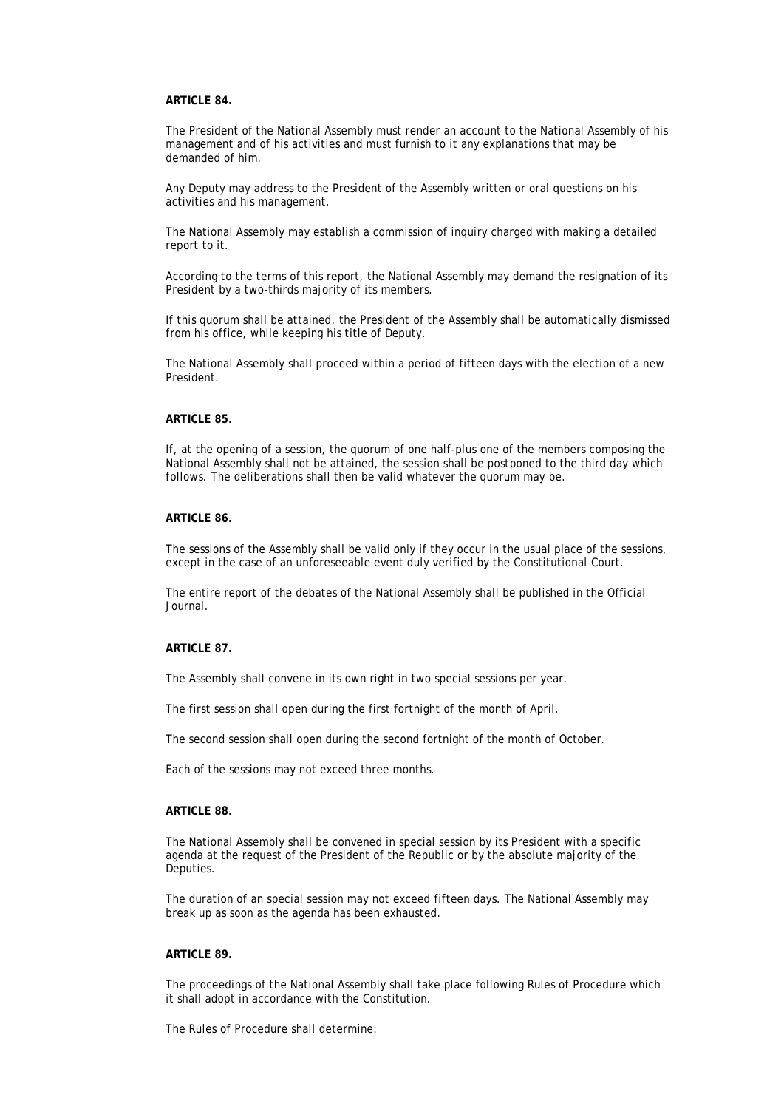# **ARTICLE 84.**

The President of the National Assembly must render an account to the National Assembly of his management and of his activities and must furnish to it any explanations that may be demanded of him.

Any Deputy may address to the President of the Assembly written or oral questions on his activities and his management.

The National Assembly may establish a commission of inquiry charged with making a detailed report to it.

According to the terms of this report, the National Assembly may demand the resignation of its President by a two-thirds majority of its members.

If this quorum shall be attained, the President of the Assembly shall be automatically dismissed from his office, while keeping his title of Deputy.

The National Assembly shall proceed within a period of fifteen days with the election of a new President.

#### **ARTICLE 85.**

If, at the opening of a session, the quorum of one half-plus one of the members composing the National Assembly shall not be attained, the session shall be postponed to the third day which follows. The deliberations shall then be valid whatever the quorum may be.

# **ARTICLE 86.**

The sessions of the Assembly shall be valid only if they occur in the usual place of the sessions, except in the case of an unforeseeable event duly verified by the Constitutional Court.

The entire report of the debates of the National Assembly shall be published in the Official Journal.

#### **ARTICLE 87.**

The Assembly shall convene in its own right in two special sessions per year.

The first session shall open during the first fortnight of the month of April.

The second session shall open during the second fortnight of the month of October.

Each of the sessions may not exceed three months.

#### **ARTICLE 88.**

The National Assembly shall be convened in special session by its President with a specific agenda at the request of the President of the Republic or by the absolute majority of the Deputies.

The duration of an special session may not exceed fifteen days. The National Assembly may break up as soon as the agenda has been exhausted.

### **ARTICLE 89.**

The proceedings of the National Assembly shall take place following Rules of Procedure which it shall adopt in accordance with the Constitution.

The Rules of Procedure shall determine: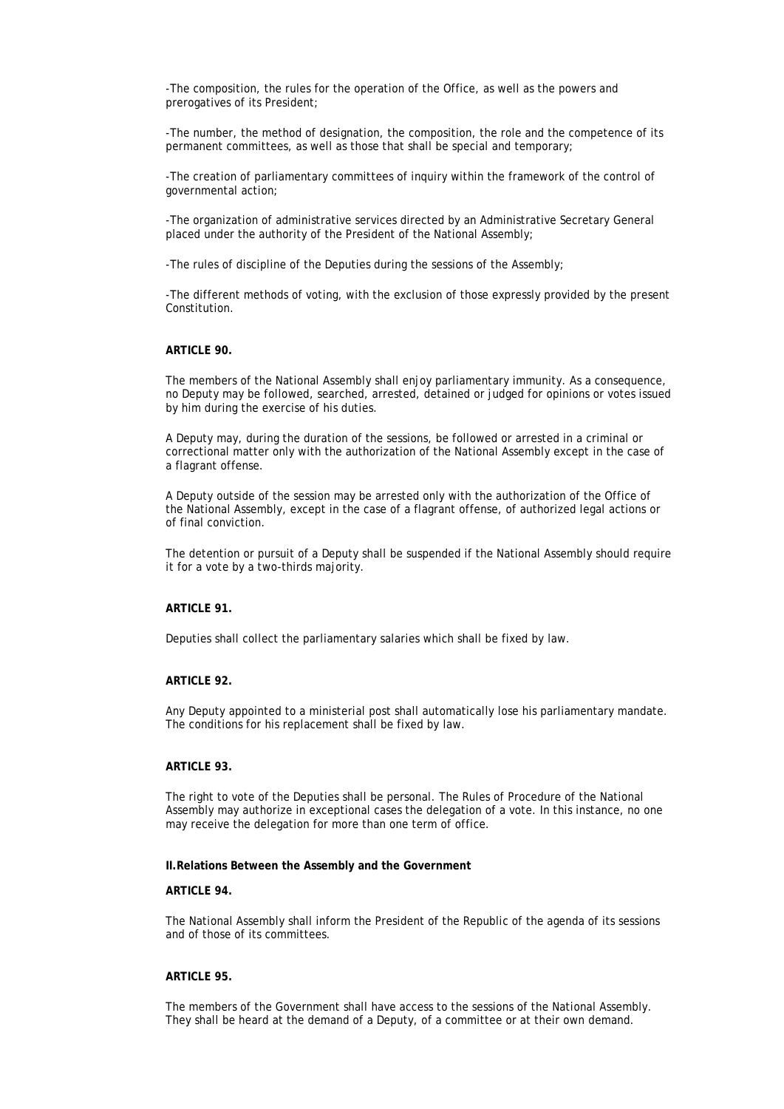-The composition, the rules for the operation of the Office, as well as the powers and prerogatives of its President;

-The number, the method of designation, the composition, the role and the competence of its permanent committees, as well as those that shall be special and temporary;

-The creation of parliamentary committees of inquiry within the framework of the control of governmental action;

-The organization of administrative services directed by an Administrative Secretary General placed under the authority of the President of the National Assembly;

-The rules of discipline of the Deputies during the sessions of the Assembly;

-The different methods of voting, with the exclusion of those expressly provided by the present Constitution.

#### **ARTICLE 90.**

The members of the National Assembly shall enjoy parliamentary immunity. As a consequence, no Deputy may be followed, searched, arrested, detained or judged for opinions or votes issued by him during the exercise of his duties.

A Deputy may, during the duration of the sessions, be followed or arrested in a criminal or correctional matter only with the authorization of the National Assembly except in the case of a flagrant offense.

A Deputy outside of the session may be arrested only with the authorization of the Office of the National Assembly, except in the case of a flagrant offense, of authorized legal actions or of final conviction.

The detention or pursuit of a Deputy shall be suspended if the National Assembly should require it for a vote by a two-thirds majority.

### **ARTICLE 91.**

Deputies shall collect the parliamentary salaries which shall be fixed by law.

## **ARTICLE 92.**

Any Deputy appointed to a ministerial post shall automatically lose his parliamentary mandate. The conditions for his replacement shall be fixed by law.

#### **ARTICLE 93.**

The right to vote of the Deputies shall be personal. The Rules of Procedure of the National Assembly may authorize in exceptional cases the delegation of a vote. In this instance, no one may receive the delegation for more than one term of office.

#### **II.Relations Between the Assembly and the Government**

#### **ARTICLE 94.**

The National Assembly shall inform the President of the Republic of the agenda of its sessions and of those of its committees.

### **ARTICLE 95.**

The members of the Government shall have access to the sessions of the National Assembly. They shall be heard at the demand of a Deputy, of a committee or at their own demand.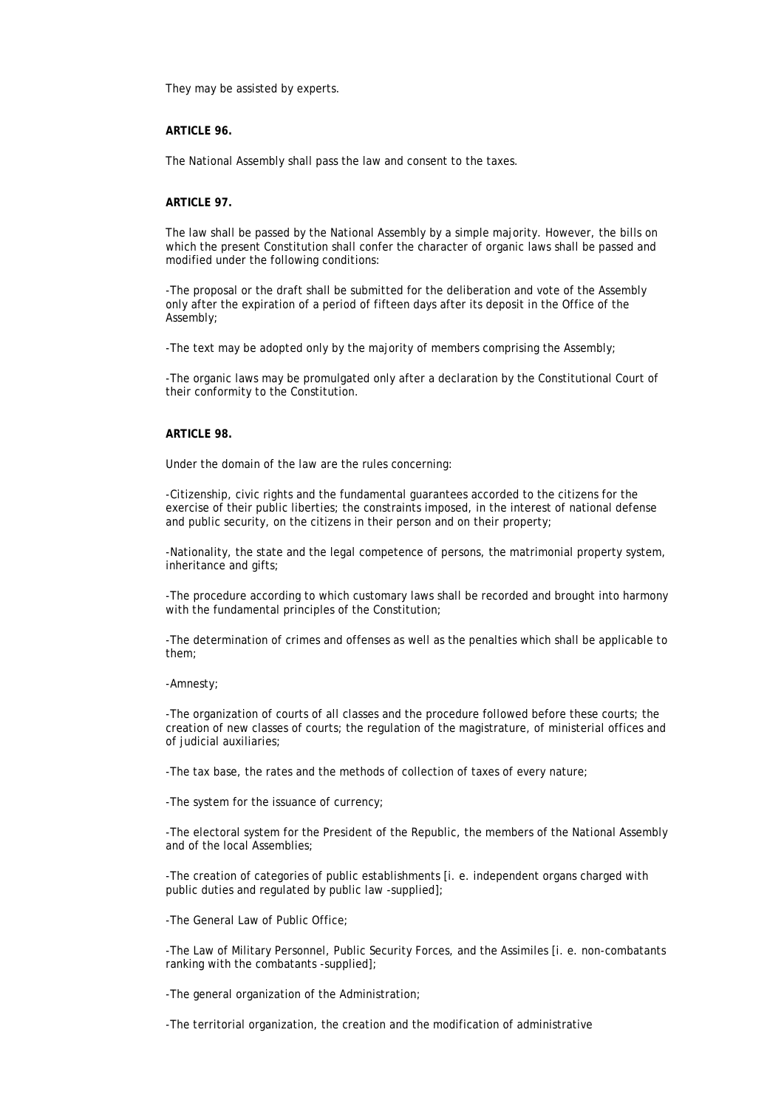They may be assisted by experts.

### **ARTICLE 96.**

The National Assembly shall pass the law and consent to the taxes.

#### **ARTICLE 97.**

The law shall be passed by the National Assembly by a simple majority. However, the bills on which the present Constitution shall confer the character of organic laws shall be passed and modified under the following conditions:

-The proposal or the draft shall be submitted for the deliberation and vote of the Assembly only after the expiration of a period of fifteen days after its deposit in the Office of the Assembly;

-The text may be adopted only by the majority of members comprising the Assembly;

-The organic laws may be promulgated only after a declaration by the Constitutional Court of their conformity to the Constitution.

### **ARTICLE 98.**

Under the domain of the law are the rules concerning:

-Citizenship, civic rights and the fundamental guarantees accorded to the citizens for the exercise of their public liberties; the constraints imposed, in the interest of national defense and public security, on the citizens in their person and on their property;

-Nationality, the state and the legal competence of persons, the matrimonial property system, inheritance and gifts;

-The procedure according to which customary laws shall be recorded and brought into harmony with the fundamental principles of the Constitution;

-The determination of crimes and offenses as well as the penalties which shall be applicable to them;

#### -Amnesty;

-The organization of courts of all classes and the procedure followed before these courts; the creation of new classes of courts; the regulation of the magistrature, of ministerial offices and of judicial auxiliaries;

-The tax base, the rates and the methods of collection of taxes of every nature;

-The system for the issuance of currency;

-The electoral system for the President of the Republic, the members of the National Assembly and of the local Assemblies;

-The creation of categories of public establishments [i. e. independent organs charged with public duties and regulated by public law -supplied];

-The General Law of Public Office;

-The Law of Military Personnel, Public Security Forces, and the Assimiles [i. e. non-combatants ranking with the combatants -supplied];

-The general organization of the Administration;

-The territorial organization, the creation and the modification of administrative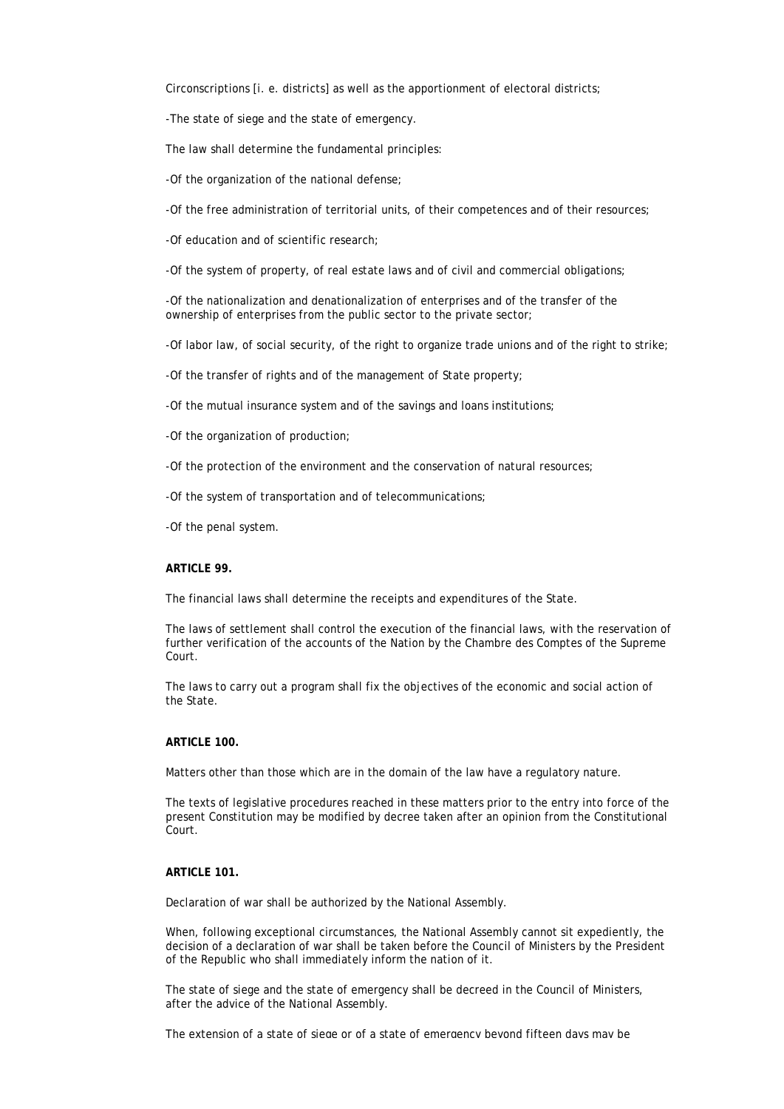Circonscriptions [i. e. districts] as well as the apportionment of electoral districts;

-The state of siege and the state of emergency.

The law shall determine the fundamental principles:

-Of the organization of the national defense;

-Of the free administration of territorial units, of their competences and of their resources;

-Of education and of scientific research;

-Of the system of property, of real estate laws and of civil and commercial obligations;

-Of the nationalization and denationalization of enterprises and of the transfer of the ownership of enterprises from the public sector to the private sector;

-Of labor law, of social security, of the right to organize trade unions and of the right to strike;

-Of the transfer of rights and of the management of State property;

-Of the mutual insurance system and of the savings and loans institutions;

-Of the organization of production;

-Of the protection of the environment and the conservation of natural resources;

-Of the system of transportation and of telecommunications;

-Of the penal system.

### **ARTICLE 99.**

The financial laws shall determine the receipts and expenditures of the State.

The laws of settlement shall control the execution of the financial laws, with the reservation of further verification of the accounts of the Nation by the Chambre des Comptes of the Supreme Court.

The laws to carry out a program shall fix the objectives of the economic and social action of the State.

### **ARTICLE 100.**

Matters other than those which are in the domain of the law have a regulatory nature.

The texts of legislative procedures reached in these matters prior to the entry into force of the present Constitution may be modified by decree taken after an opinion from the Constitutional Court.

# **ARTICLE 101.**

Declaration of war shall be authorized by the National Assembly.

When, following exceptional circumstances, the National Assembly cannot sit expediently, the decision of a declaration of war shall be taken before the Council of Ministers by the President of the Republic who shall immediately inform the nation of it.

The state of siege and the state of emergency shall be decreed in the Council of Ministers, after the advice of the National Assembly.

The extension of a state of siege or of a state of emergency beyond fifteen days may be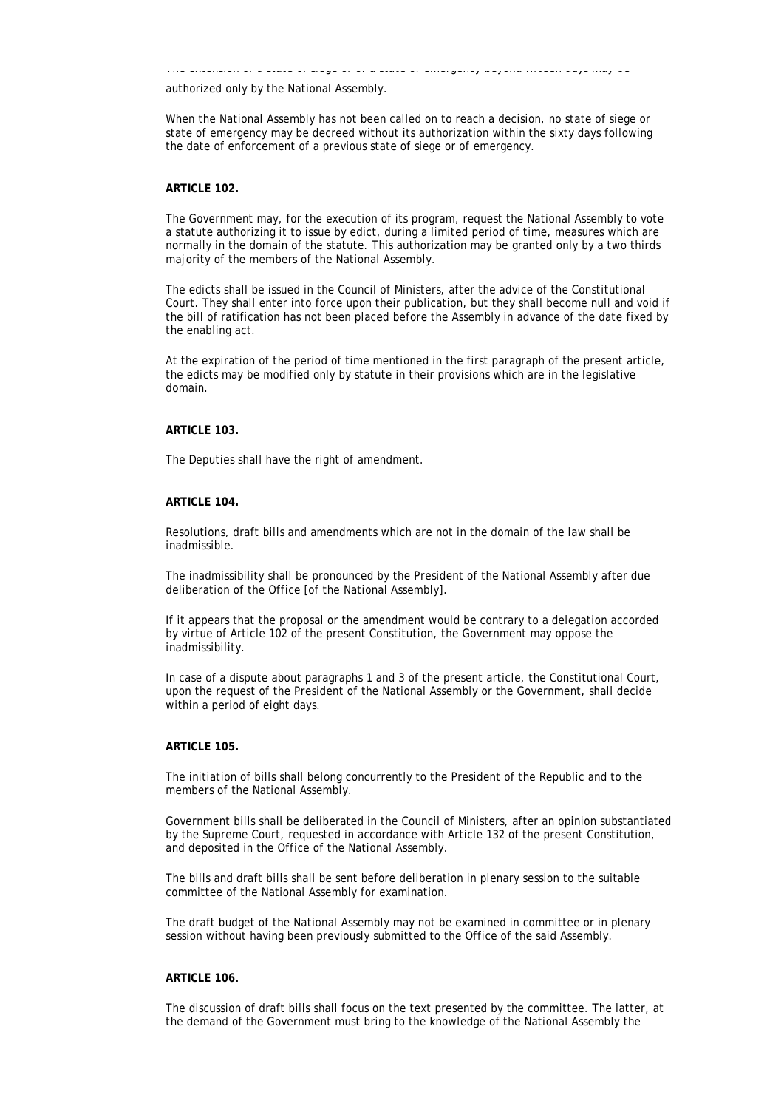The extension of a state of siege or of a state of emergency beyond fifteen days may be

authorized only by the National Assembly.

When the National Assembly has not been called on to reach a decision, no state of siege or state of emergency may be decreed without its authorization within the sixty days following the date of enforcement of a previous state of siege or of emergency.

#### **ARTICLE 102.**

The Government may, for the execution of its program, request the National Assembly to vote a statute authorizing it to issue by edict, during a limited period of time, measures which are normally in the domain of the statute. This authorization may be granted only by a two thirds majority of the members of the National Assembly.

The edicts shall be issued in the Council of Ministers, after the advice of the Constitutional Court. They shall enter into force upon their publication, but they shall become null and void if the bill of ratification has not been placed before the Assembly in advance of the date fixed by the enabling act.

At the expiration of the period of time mentioned in the first paragraph of the present article, the edicts may be modified only by statute in their provisions which are in the legislative domain.

### **ARTICLE 103.**

The Deputies shall have the right of amendment.

#### **ARTICLE 104.**

Resolutions, draft bills and amendments which are not in the domain of the law shall be inadmissible.

The inadmissibility shall be pronounced by the President of the National Assembly after due deliberation of the Office [of the National Assembly].

If it appears that the proposal or the amendment would be contrary to a delegation accorded by virtue of Article 102 of the present Constitution, the Government may oppose the inadmissibility.

In case of a dispute about paragraphs 1 and 3 of the present article, the Constitutional Court, upon the request of the President of the National Assembly or the Government, shall decide within a period of eight days.

### **ARTICLE 105.**

The initiation of bills shall belong concurrently to the President of the Republic and to the members of the National Assembly.

Government bills shall be deliberated in the Council of Ministers, after an opinion substantiated by the Supreme Court, requested in accordance with Article 132 of the present Constitution, and deposited in the Office of the National Assembly.

The bills and draft bills shall be sent before deliberation in plenary session to the suitable committee of the National Assembly for examination.

The draft budget of the National Assembly may not be examined in committee or in plenary session without having been previously submitted to the Office of the said Assembly.

### **ARTICLE 106.**

The discussion of draft bills shall focus on the text presented by the committee. The latter, at the demand of the Government must bring to the knowledge of the National Assembly the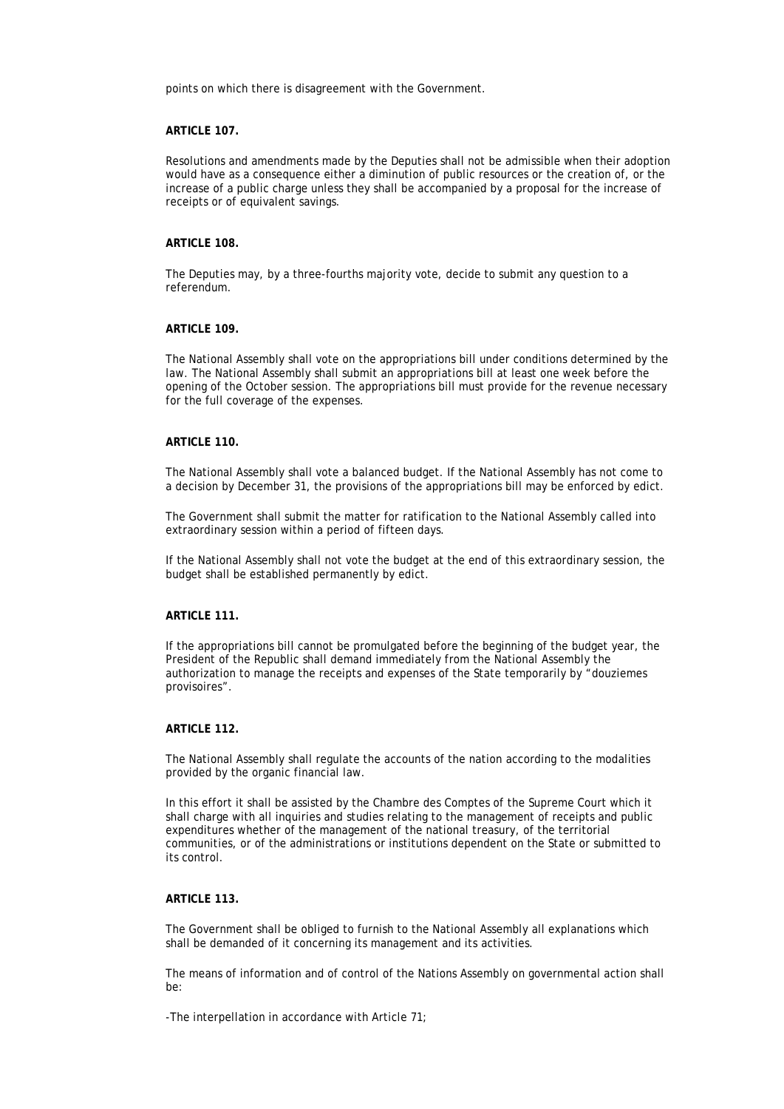points on which there is disagreement with the Government.

## **ARTICLE 107.**

Resolutions and amendments made by the Deputies shall not be admissible when their adoption would have as a consequence either a diminution of public resources or the creation of, or the increase of a public charge unless they shall be accompanied by a proposal for the increase of receipts or of equivalent savings.

#### **ARTICLE 108.**

The Deputies may, by a three-fourths majority vote, decide to submit any question to a referendum.

#### **ARTICLE 109.**

The National Assembly shall vote on the appropriations bill under conditions determined by the law. The National Assembly shall submit an appropriations bill at least one week before the opening of the October session. The appropriations bill must provide for the revenue necessary for the full coverage of the expenses.

### **ARTICLE 110.**

The National Assembly shall vote a balanced budget. If the National Assembly has not come to a decision by December 31, the provisions of the appropriations bill may be enforced by edict.

The Government shall submit the matter for ratification to the National Assembly called into extraordinary session within a period of fifteen days.

If the National Assembly shall not vote the budget at the end of this extraordinary session, the budget shall be established permanently by edict.

# **ARTICLE 111.**

If the appropriations bill cannot be promulgated before the beginning of the budget year, the President of the Republic shall demand immediately from the National Assembly the authorization to manage the receipts and expenses of the State temporarily by "douziemes provisoires".

# **ARTICLE 112.**

The National Assembly shall regulate the accounts of the nation according to the modalities provided by the organic financial law.

In this effort it shall be assisted by the Chambre des Comptes of the Supreme Court which it shall charge with all inquiries and studies relating to the management of receipts and public expenditures whether of the management of the national treasury, of the territorial communities, or of the administrations or institutions dependent on the State or submitted to its control.

# **ARTICLE 113.**

The Government shall be obliged to furnish to the National Assembly all explanations which shall be demanded of it concerning its management and its activities.

The means of information and of control of the Nations Assembly on governmental action shall be:

-The interpellation in accordance with Article 71;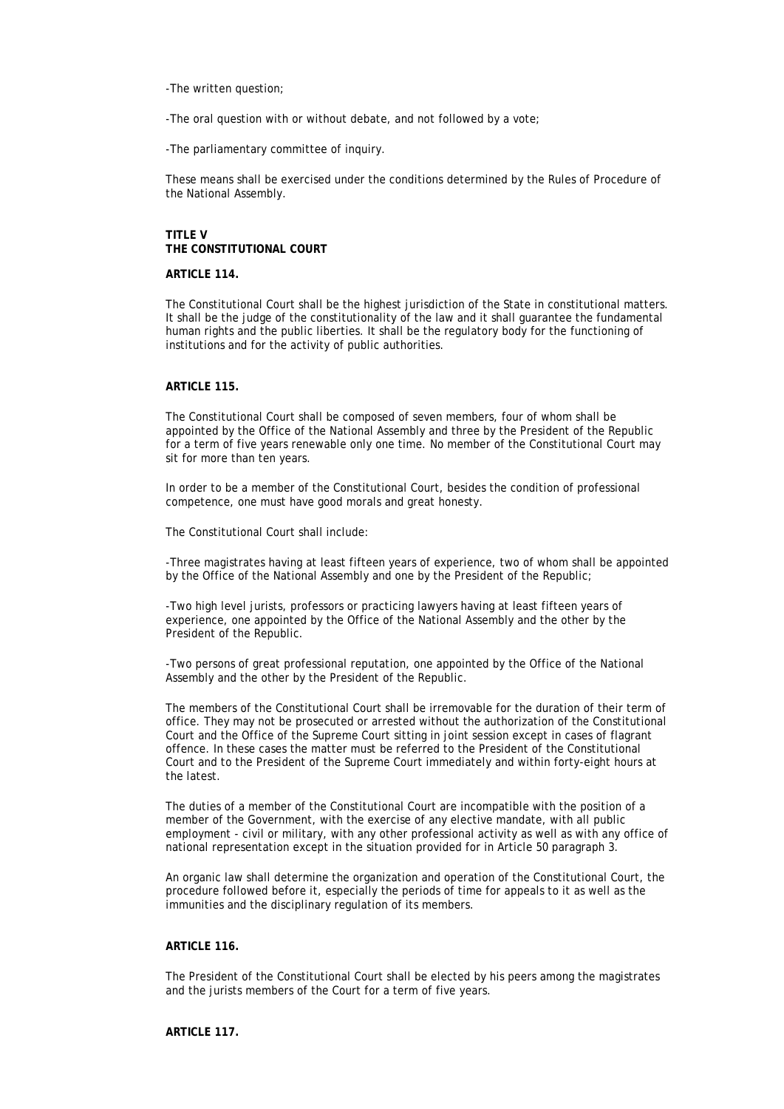-The written question;

-The oral question with or without debate, and not followed by a vote;

-The parliamentary committee of inquiry.

These means shall be exercised under the conditions determined by the Rules of Procedure of the National Assembly.

# **TITLE V THE CONSTITUTIONAL COURT**

# **ARTICLE 114.**

The Constitutional Court shall be the highest jurisdiction of the State in constitutional matters. It shall be the judge of the constitutionality of the law and it shall guarantee the fundamental human rights and the public liberties. It shall be the regulatory body for the functioning of institutions and for the activity of public authorities.

# **ARTICLE 115.**

The Constitutional Court shall be composed of seven members, four of whom shall be appointed by the Office of the National Assembly and three by the President of the Republic for a term of five years renewable only one time. No member of the Constitutional Court may sit for more than ten years.

In order to be a member of the Constitutional Court, besides the condition of professional competence, one must have good morals and great honesty.

The Constitutional Court shall include:

-Three magistrates having at least fifteen years of experience, two of whom shall be appointed by the Office of the National Assembly and one by the President of the Republic;

-Two high level jurists, professors or practicing lawyers having at least fifteen years of experience, one appointed by the Office of the National Assembly and the other by the President of the Republic.

-Two persons of great professional reputation, one appointed by the Office of the National Assembly and the other by the President of the Republic.

The members of the Constitutional Court shall be irremovable for the duration of their term of office. They may not be prosecuted or arrested without the authorization of the Constitutional Court and the Office of the Supreme Court sitting in joint session except in cases of flagrant offence. In these cases the matter must be referred to the President of the Constitutional Court and to the President of the Supreme Court immediately and within forty-eight hours at the latest.

The duties of a member of the Constitutional Court are incompatible with the position of a member of the Government, with the exercise of any elective mandate, with all public employment - civil or military, with any other professional activity as well as with any office of national representation except in the situation provided for in Article 50 paragraph 3.

An organic law shall determine the organization and operation of the Constitutional Court, the procedure followed before it, especially the periods of time for appeals to it as well as the immunities and the disciplinary regulation of its members.

# **ARTICLE 116.**

The President of the Constitutional Court shall be elected by his peers among the magistrates and the jurists members of the Court for a term of five years.

### **ARTICLE 117.**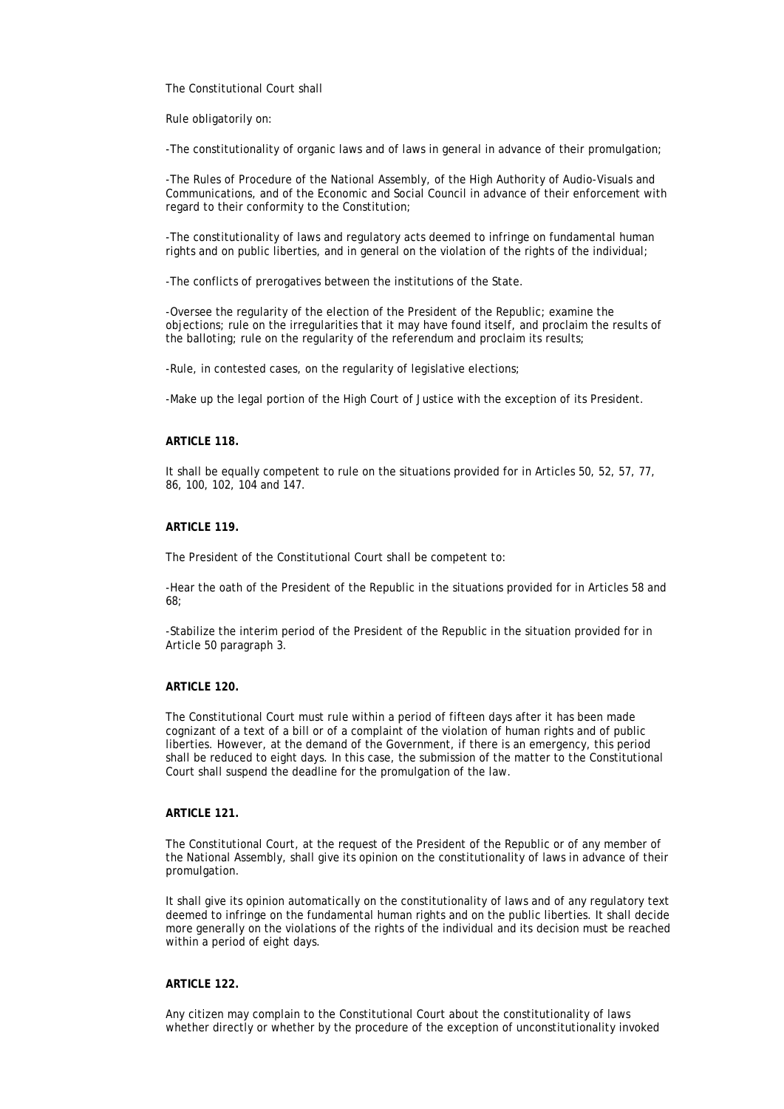The Constitutional Court shall

Rule obligatorily on:

-The constitutionality of organic laws and of laws in general in advance of their promulgation;

-The Rules of Procedure of the National Assembly, of the High Authority of Audio-Visuals and Communications, and of the Economic and Social Council in advance of their enforcement with regard to their conformity to the Constitution;

-The constitutionality of laws and regulatory acts deemed to infringe on fundamental human rights and on public liberties, and in general on the violation of the rights of the individual;

-The conflicts of prerogatives between the institutions of the State.

-Oversee the regularity of the election of the President of the Republic; examine the objections; rule on the irregularities that it may have found itself, and proclaim the results of the balloting; rule on the regularity of the referendum and proclaim its results;

-Rule, in contested cases, on the regularity of legislative elections;

-Make up the legal portion of the High Court of Justice with the exception of its President.

## **ARTICLE 118.**

It shall be equally competent to rule on the situations provided for in Articles 50, 52, 57, 77, 86, 100, 102, 104 and 147.

# **ARTICLE 119.**

The President of the Constitutional Court shall be competent to:

-Hear the oath of the President of the Republic in the situations provided for in Articles 58 and 68;

-Stabilize the interim period of the President of the Republic in the situation provided for in Article 50 paragraph 3.

# **ARTICLE 120.**

The Constitutional Court must rule within a period of fifteen days after it has been made cognizant of a text of a bill or of a complaint of the violation of human rights and of public liberties. However, at the demand of the Government, if there is an emergency, this period shall be reduced to eight days. In this case, the submission of the matter to the Constitutional Court shall suspend the deadline for the promulgation of the law.

# **ARTICLE 121.**

The Constitutional Court, at the request of the President of the Republic or of any member of the National Assembly, shall give its opinion on the constitutionality of laws in advance of their promulgation.

It shall give its opinion automatically on the constitutionality of laws and of any regulatory text deemed to infringe on the fundamental human rights and on the public liberties. It shall decide more generally on the violations of the rights of the individual and its decision must be reached within a period of eight days.

## **ARTICLE 122.**

Any citizen may complain to the Constitutional Court about the constitutionality of laws whether directly or whether by the procedure of the exception of unconstitutionality invoked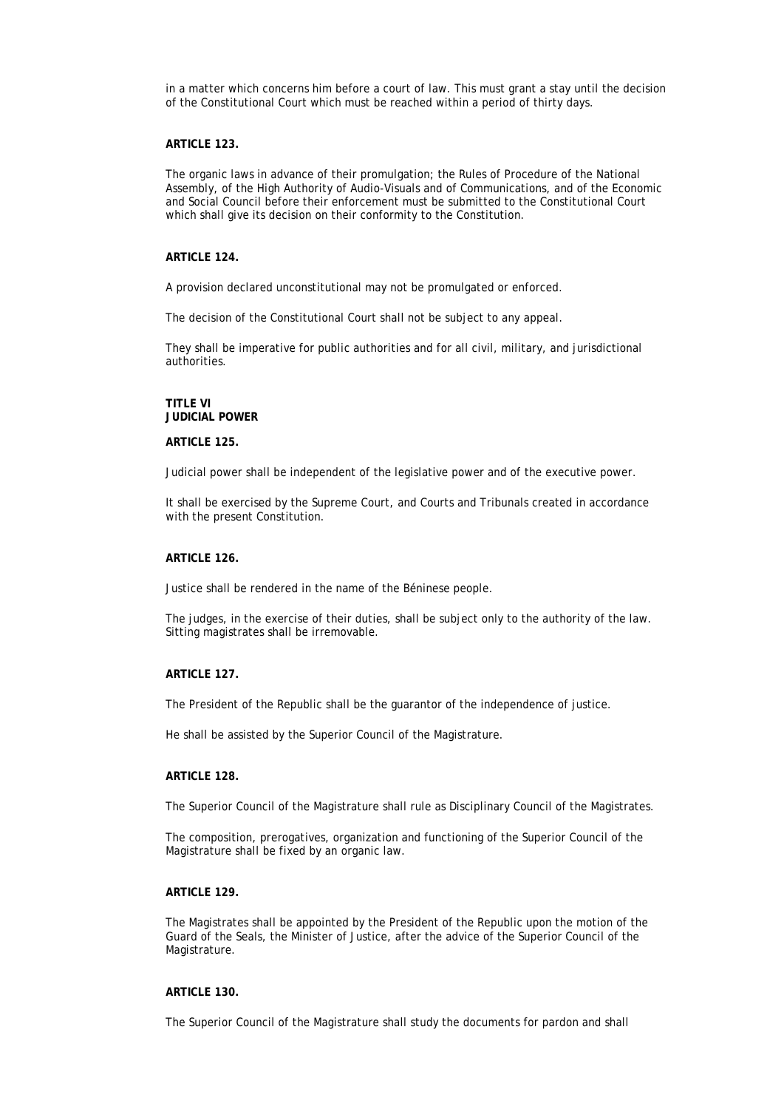in a matter which concerns him before a court of law. This must grant a stay until the decision of the Constitutional Court which must be reached within a period of thirty days.

#### **ARTICLE 123.**

The organic laws in advance of their promulgation; the Rules of Procedure of the National Assembly, of the High Authority of Audio-Visuals and of Communications, and of the Economic and Social Council before their enforcement must be submitted to the Constitutional Court which shall give its decision on their conformity to the Constitution.

### **ARTICLE 124.**

A provision declared unconstitutional may not be promulgated or enforced.

The decision of the Constitutional Court shall not be subject to any appeal.

They shall be imperative for public authorities and for all civil, military, and jurisdictional authorities.

# **TITLE VI JUDICIAL POWER**

#### **ARTICLE 125.**

Judicial power shall be independent of the legislative power and of the executive power.

It shall be exercised by the Supreme Court, and Courts and Tribunals created in accordance with the present Constitution.

#### **ARTICLE 126.**

Justice shall be rendered in the name of the Béninese people.

The judges, in the exercise of their duties, shall be subject only to the authority of the law. Sitting magistrates shall be irremovable.

# **ARTICLE 127.**

The President of the Republic shall be the guarantor of the independence of justice.

He shall be assisted by the Superior Council of the Magistrature.

#### **ARTICLE 128.**

The Superior Council of the Magistrature shall rule as Disciplinary Council of the Magistrates.

The composition, prerogatives, organization and functioning of the Superior Council of the Magistrature shall be fixed by an organic law.

### **ARTICLE 129.**

The Magistrates shall be appointed by the President of the Republic upon the motion of the Guard of the Seals, the Minister of Justice, after the advice of the Superior Council of the Magistrature.

# **ARTICLE 130.**

The Superior Council of the Magistrature shall study the documents for pardon and shall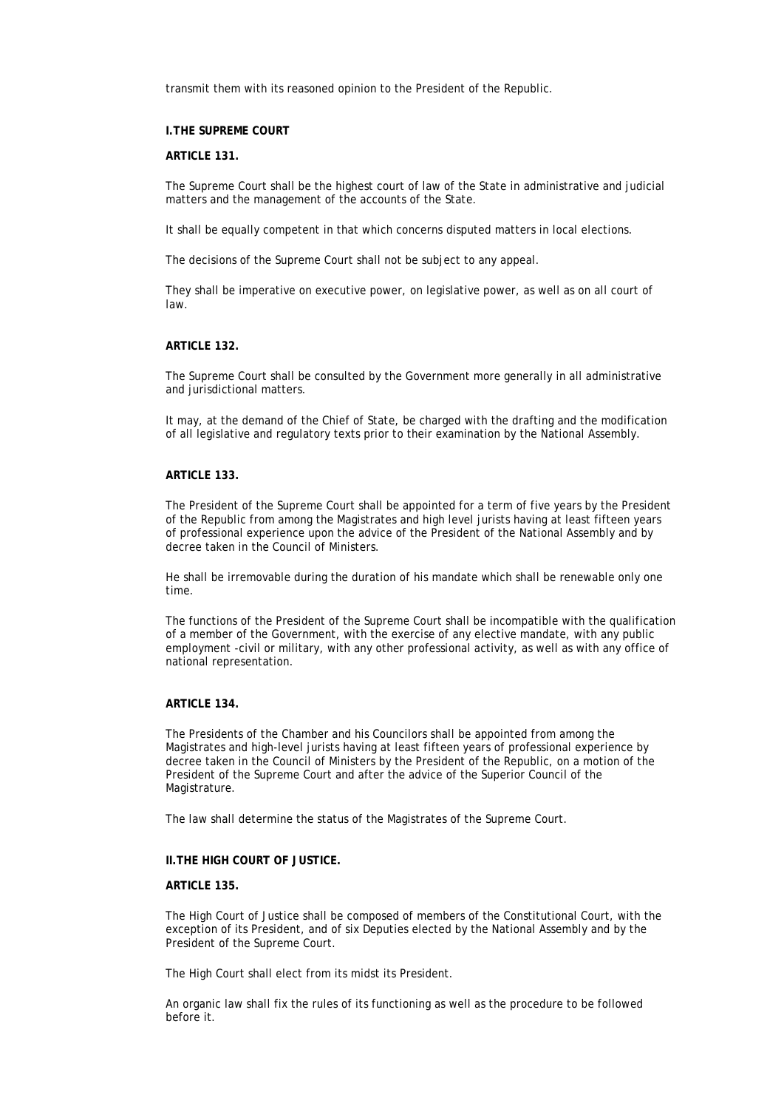transmit them with its reasoned opinion to the President of the Republic.

#### **I.THE SUPREME COURT**

# **ARTICLE 131.**

The Supreme Court shall be the highest court of law of the State in administrative and judicial matters and the management of the accounts of the State.

It shall be equally competent in that which concerns disputed matters in local elections.

The decisions of the Supreme Court shall not be subject to any appeal.

They shall be imperative on executive power, on legislative power, as well as on all court of law.

# **ARTICLE 132.**

The Supreme Court shall be consulted by the Government more generally in all administrative and jurisdictional matters.

It may, at the demand of the Chief of State, be charged with the drafting and the modification of all legislative and regulatory texts prior to their examination by the National Assembly.

#### **ARTICLE 133.**

The President of the Supreme Court shall be appointed for a term of five years by the President of the Republic from among the Magistrates and high level jurists having at least fifteen years of professional experience upon the advice of the President of the National Assembly and by decree taken in the Council of Ministers.

He shall be irremovable during the duration of his mandate which shall be renewable only one time.

The functions of the President of the Supreme Court shall be incompatible with the qualification of a member of the Government, with the exercise of any elective mandate, with any public employment -civil or military, with any other professional activity, as well as with any office of national representation.

## **ARTICLE 134.**

The Presidents of the Chamber and his Councilors shall be appointed from among the Magistrates and high-level jurists having at least fifteen years of professional experience by decree taken in the Council of Ministers by the President of the Republic, on a motion of the President of the Supreme Court and after the advice of the Superior Council of the Magistrature.

The law shall determine the status of the Magistrates of the Supreme Court.

#### **II.THE HIGH COURT OF JUSTICE.**

# **ARTICLE 135.**

The High Court of Justice shall be composed of members of the Constitutional Court, with the exception of its President, and of six Deputies elected by the National Assembly and by the President of the Supreme Court.

The High Court shall elect from its midst its President.

An organic law shall fix the rules of its functioning as well as the procedure to be followed before it.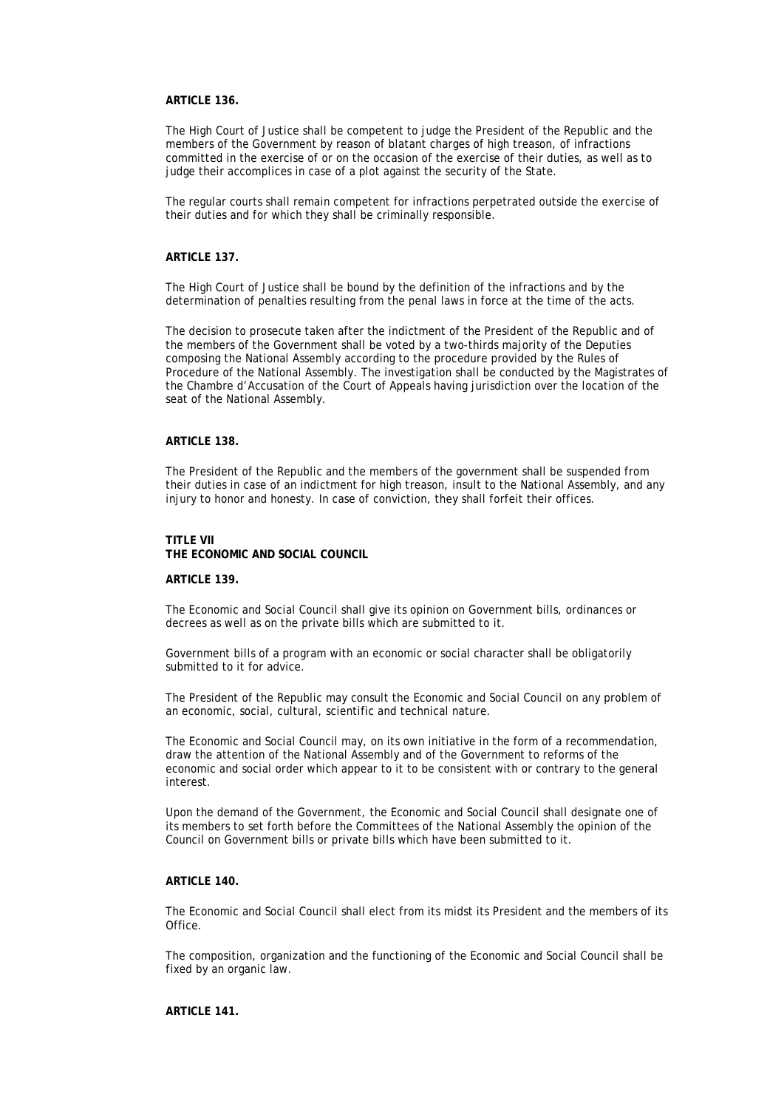# **ARTICLE 136.**

The High Court of Justice shall be competent to judge the President of the Republic and the members of the Government by reason of blatant charges of high treason, of infractions committed in the exercise of or on the occasion of the exercise of their duties, as well as to judge their accomplices in case of a plot against the security of the State.

The regular courts shall remain competent for infractions perpetrated outside the exercise of their duties and for which they shall be criminally responsible.

### **ARTICLE 137.**

The High Court of Justice shall be bound by the definition of the infractions and by the determination of penalties resulting from the penal laws in force at the time of the acts.

The decision to prosecute taken after the indictment of the President of the Republic and of the members of the Government shall be voted by a two-thirds majority of the Deputies composing the National Assembly according to the procedure provided by the Rules of Procedure of the National Assembly. The investigation shall be conducted by the Magistrates of the Chambre d'Accusation of the Court of Appeals having jurisdiction over the location of the seat of the National Assembly.

## **ARTICLE 138.**

The President of the Republic and the members of the government shall be suspended from their duties in case of an indictment for high treason, insult to the National Assembly, and any injury to honor and honesty. In case of conviction, they shall forfeit their offices.

#### **TITLE VII THE ECONOMIC AND SOCIAL COUNCIL**

#### **ARTICLE 139.**

The Economic and Social Council shall give its opinion on Government bills, ordinances or decrees as well as on the private bills which are submitted to it.

Government bills of a program with an economic or social character shall be obligatorily submitted to it for advice.

The President of the Republic may consult the Economic and Social Council on any problem of an economic, social, cultural, scientific and technical nature.

The Economic and Social Council may, on its own initiative in the form of a recommendation, draw the attention of the National Assembly and of the Government to reforms of the economic and social order which appear to it to be consistent with or contrary to the general interest.

Upon the demand of the Government, the Economic and Social Council shall designate one of its members to set forth before the Committees of the National Assembly the opinion of the Council on Government bills or private bills which have been submitted to it.

#### **ARTICLE 140.**

The Economic and Social Council shall elect from its midst its President and the members of its Office.

The composition, organization and the functioning of the Economic and Social Council shall be fixed by an organic law.

**ARTICLE 141.**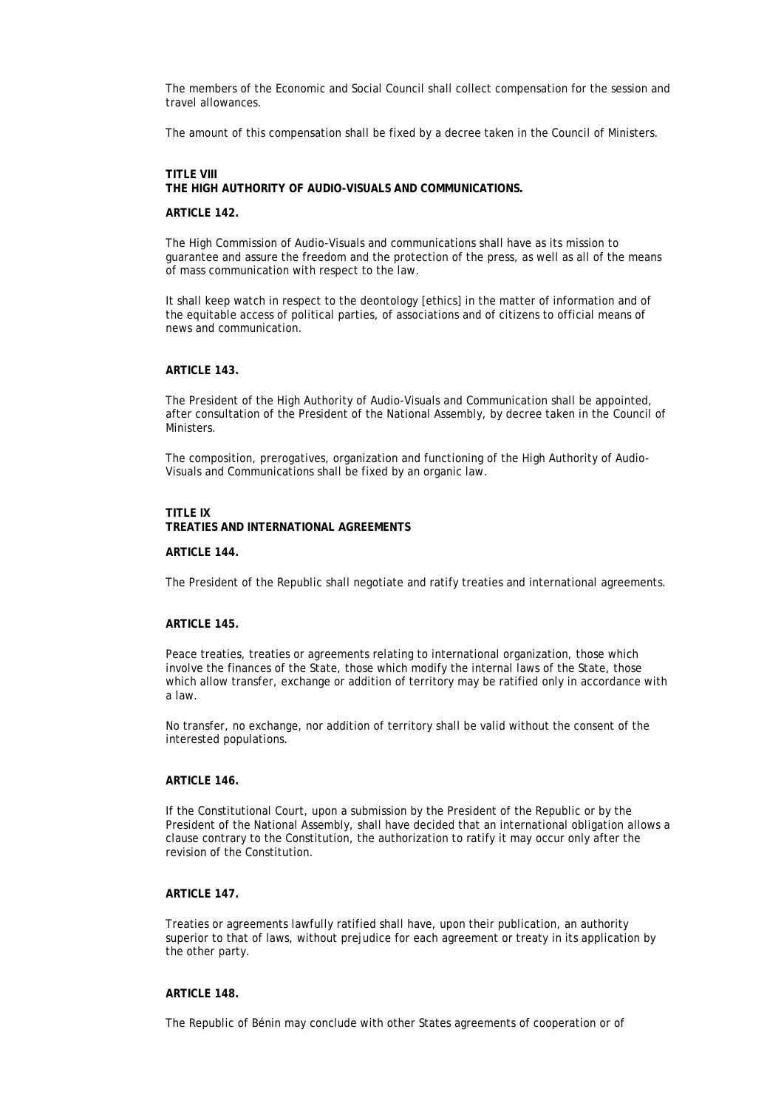The members of the Economic and Social Council shall collect compensation for the session and travel allowances.

The amount of this compensation shall be fixed by a decree taken in the Council of Ministers.

# **TITLE VIII THE HIGH AUTHORITY OF AUDIO-VISUALS AND COMMUNICATIONS.**

#### **ARTICLE 142.**

The High Commission of Audio-Visuals and communications shall have as its mission to guarantee and assure the freedom and the protection of the press, as well as all of the means of mass communication with respect to the law.

It shall keep watch in respect to the deontology [ethics] in the matter of information and of the equitable access of political parties, of associations and of citizens to official means of news and communication.

### **ARTICLE 143.**

The President of the High Authority of Audio-Visuals and Communication shall be appointed, after consultation of the President of the National Assembly, by decree taken in the Council of **Ministers** 

The composition, prerogatives, organization and functioning of the High Authority of Audio-Visuals and Communications shall be fixed by an organic law.

### **TITLE IX TREATIES AND INTERNATIONAL AGREEMENTS**

#### **ARTICLE 144.**

The President of the Republic shall negotiate and ratify treaties and international agreements.

#### **ARTICLE 145.**

Peace treaties, treaties or agreements relating to international organization, those which involve the finances of the State, those which modify the internal laws of the State, those which allow transfer, exchange or addition of territory may be ratified only in accordance with a law.

No transfer, no exchange, nor addition of territory shall be valid without the consent of the interested populations.

#### **ARTICLE 146.**

If the Constitutional Court, upon a submission by the President of the Republic or by the President of the National Assembly, shall have decided that an international obligation allows a clause contrary to the Constitution, the authorization to ratify it may occur only after the revision of the Constitution.

# **ARTICLE 147.**

Treaties or agreements lawfully ratified shall have, upon their publication, an authority superior to that of laws, without prejudice for each agreement or treaty in its application by the other party.

#### **ARTICLE 148.**

The Republic of Bénin may conclude with other States agreements of cooperation or of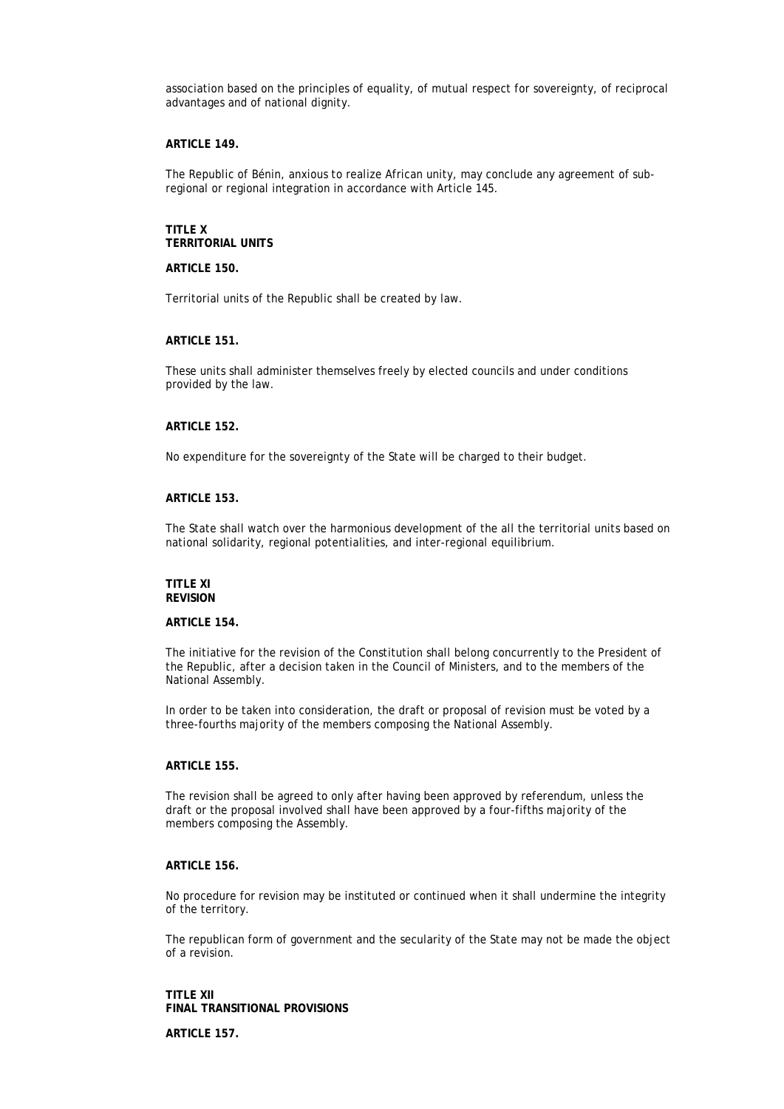association based on the principles of equality, of mutual respect for sovereignty, of reciprocal advantages and of national dignity.

#### **ARTICLE 149.**

The Republic of Bénin, anxious to realize African unity, may conclude any agreement of subregional or regional integration in accordance with Article 145.

### **TITLE X TERRITORIAL UNITS**

#### **ARTICLE 150.**

Territorial units of the Republic shall be created by law.

# **ARTICLE 151.**

These units shall administer themselves freely by elected councils and under conditions provided by the law.

# **ARTICLE 152.**

No expenditure for the sovereignty of the State will be charged to their budget.

#### **ARTICLE 153.**

The State shall watch over the harmonious development of the all the territorial units based on national solidarity, regional potentialities, and inter-regional equilibrium.

#### **TITLE XI REVISION**

#### **ARTICLE 154.**

The initiative for the revision of the Constitution shall belong concurrently to the President of the Republic, after a decision taken in the Council of Ministers, and to the members of the National Assembly.

In order to be taken into consideration, the draft or proposal of revision must be voted by a three-fourths majority of the members composing the National Assembly.

#### **ARTICLE 155.**

The revision shall be agreed to only after having been approved by referendum, unless the draft or the proposal involved shall have been approved by a four-fifths majority of the members composing the Assembly.

# **ARTICLE 156.**

No procedure for revision may be instituted or continued when it shall undermine the integrity of the territory.

The republican form of government and the secularity of the State may not be made the object of a revision.

**TITLE XII FINAL TRANSITIONAL PROVISIONS ARTICLE 157.**